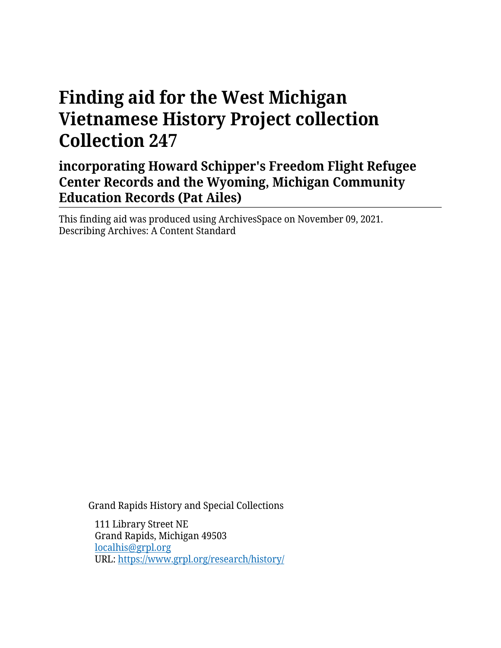# **Finding aid for the West Michigan Vietnamese History Project collection Collection 247**

# **incorporating Howard Schipper's Freedom Flight Refugee Center Records and the Wyoming, Michigan Community Education Records (Pat Ailes)**

This finding aid was produced using ArchivesSpace on November 09, 2021. Describing Archives: A Content Standard

Grand Rapids History and Special Collections

111 Library Street NE Grand Rapids, Michigan 49503 [localhis@grpl.org](mailto:localhis@grpl.org) URL:<https://www.grpl.org/research/history/>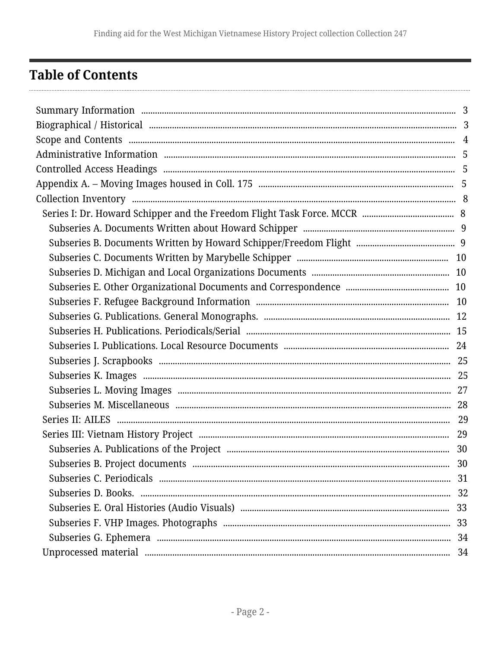# <span id="page-1-0"></span>**Table of Contents**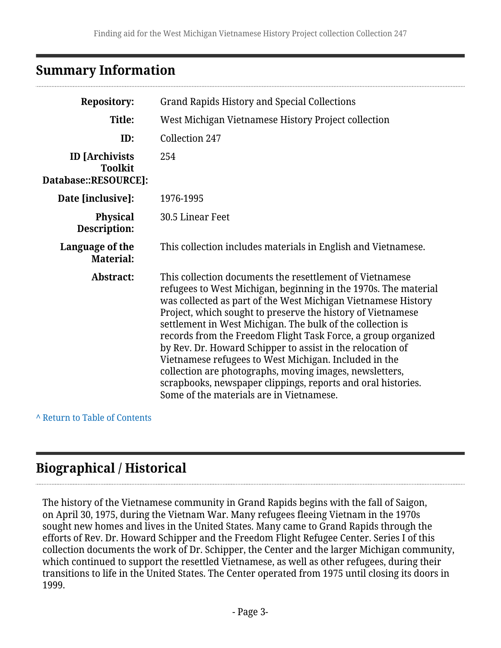# <span id="page-2-0"></span>**Summary Information**

| <b>Repository:</b>                                              | <b>Grand Rapids History and Special Collections</b>                                                                                                                                                                                                                                                                                                                                                                                                                                                                                                                                                                                                                                      |  |
|-----------------------------------------------------------------|------------------------------------------------------------------------------------------------------------------------------------------------------------------------------------------------------------------------------------------------------------------------------------------------------------------------------------------------------------------------------------------------------------------------------------------------------------------------------------------------------------------------------------------------------------------------------------------------------------------------------------------------------------------------------------------|--|
| Title:                                                          | West Michigan Vietnamese History Project collection                                                                                                                                                                                                                                                                                                                                                                                                                                                                                                                                                                                                                                      |  |
| ID:                                                             | Collection 247                                                                                                                                                                                                                                                                                                                                                                                                                                                                                                                                                                                                                                                                           |  |
| <b>ID</b> [Archivists<br><b>Toolkit</b><br>Database::RESOURCE]: | 254                                                                                                                                                                                                                                                                                                                                                                                                                                                                                                                                                                                                                                                                                      |  |
| Date [inclusive]:                                               | 1976-1995                                                                                                                                                                                                                                                                                                                                                                                                                                                                                                                                                                                                                                                                                |  |
| <b>Physical</b><br>Description:                                 | 30.5 Linear Feet                                                                                                                                                                                                                                                                                                                                                                                                                                                                                                                                                                                                                                                                         |  |
| Language of the<br><b>Material:</b>                             | This collection includes materials in English and Vietnamese.                                                                                                                                                                                                                                                                                                                                                                                                                                                                                                                                                                                                                            |  |
| Abstract:                                                       | This collection documents the resettlement of Vietnamese<br>refugees to West Michigan, beginning in the 1970s. The material<br>was collected as part of the West Michigan Vietnamese History<br>Project, which sought to preserve the history of Vietnamese<br>settlement in West Michigan. The bulk of the collection is<br>records from the Freedom Flight Task Force, a group organized<br>by Rev. Dr. Howard Schipper to assist in the relocation of<br>Vietnamese refugees to West Michigan. Included in the<br>collection are photographs, moving images, newsletters,<br>scrapbooks, newspaper clippings, reports and oral histories.<br>Some of the materials are in Vietnamese. |  |

**^** [Return to Table of Contents](#page-1-0)

# <span id="page-2-1"></span>**Biographical / Historical**

The history of the Vietnamese community in Grand Rapids begins with the fall of Saigon, on April 30, 1975, during the Vietnam War. Many refugees fleeing Vietnam in the 1970s sought new homes and lives in the United States. Many came to Grand Rapids through the efforts of Rev. Dr. Howard Schipper and the Freedom Flight Refugee Center. Series I of this collection documents the work of Dr. Schipper, the Center and the larger Michigan community, which continued to support the resettled Vietnamese, as well as other refugees, during their transitions to life in the United States. The Center operated from 1975 until closing its doors in 1999.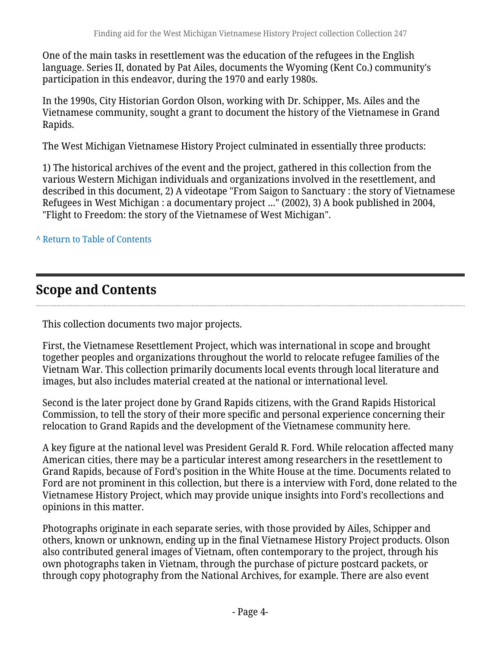One of the main tasks in resettlement was the education of the refugees in the English language. Series II, donated by Pat Ailes, documents the Wyoming (Kent Co.) community's participation in this endeavor, during the 1970 and early 1980s.

In the 1990s, City Historian Gordon Olson, working with Dr. Schipper, Ms. Ailes and the Vietnamese community, sought a grant to document the history of the Vietnamese in Grand Rapids.

The West Michigan Vietnamese History Project culminated in essentially three products:

1) The historical archives of the event and the project, gathered in this collection from the various Western Michigan individuals and organizations involved in the resettlement, and described in this document, 2) A videotape "From Saigon to Sanctuary : the story of Vietnamese Refugees in West Michigan : a documentary project …" (2002), 3) A book published in 2004, "Flight to Freedom: the story of the Vietnamese of West Michigan".

**^** [Return to Table of Contents](#page-1-0)

# <span id="page-3-0"></span>**Scope and Contents**

This collection documents two major projects.

First, the Vietnamese Resettlement Project, which was international in scope and brought together peoples and organizations throughout the world to relocate refugee families of the Vietnam War. This collection primarily documents local events through local literature and images, but also includes material created at the national or international level.

Second is the later project done by Grand Rapids citizens, with the Grand Rapids Historical Commission, to tell the story of their more specific and personal experience concerning their relocation to Grand Rapids and the development of the Vietnamese community here.

A key figure at the national level was President Gerald R. Ford. While relocation affected many American cities, there may be a particular interest among researchers in the resettlement to Grand Rapids, because of Ford's position in the White House at the time. Documents related to Ford are not prominent in this collection, but there is a interview with Ford, done related to the Vietnamese History Project, which may provide unique insights into Ford's recollections and opinions in this matter.

Photographs originate in each separate series, with those provided by Ailes, Schipper and others, known or unknown, ending up in the final Vietnamese History Project products. Olson also contributed general images of Vietnam, often contemporary to the project, through his own photographs taken in Vietnam, through the purchase of picture postcard packets, or through copy photography from the National Archives, for example. There are also event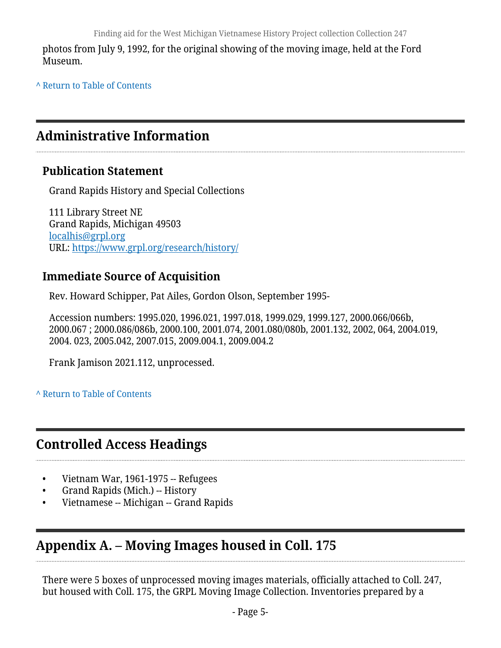photos from July 9, 1992, for the original showing of the moving image, held at the Ford Museum.

**^** [Return to Table of Contents](#page-1-0)

# <span id="page-4-0"></span>**Administrative Information**

#### **Publication Statement**

Grand Rapids History and Special Collections

111 Library Street NE Grand Rapids, Michigan 49503 [localhis@grpl.org](mailto:localhis@grpl.org) URL:<https://www.grpl.org/research/history/>

### **Immediate Source of Acquisition**

Rev. Howard Schipper, Pat Ailes, Gordon Olson, September 1995-

Accession numbers: 1995.020, 1996.021, 1997.018, 1999.029, 1999.127, 2000.066/066b, 2000.067 ; 2000.086/086b, 2000.100, 2001.074, 2001.080/080b, 2001.132, 2002, 064, 2004.019, 2004. 023, 2005.042, 2007.015, 2009.004.1, 2009.004.2

Frank Jamison 2021.112, unprocessed.

#### **^** [Return to Table of Contents](#page-1-0)

# <span id="page-4-1"></span>**Controlled Access Headings**

- Vietnam War, 1961-1975 -- Refugees
- Grand Rapids (Mich.) -- History
- Vietnamese -- Michigan -- Grand Rapids

# <span id="page-4-2"></span>**Appendix A. – Moving Images housed in Coll. 175**

There were 5 boxes of unprocessed moving images materials, officially attached to Coll. 247, but housed with Coll. 175, the GRPL Moving Image Collection. Inventories prepared by a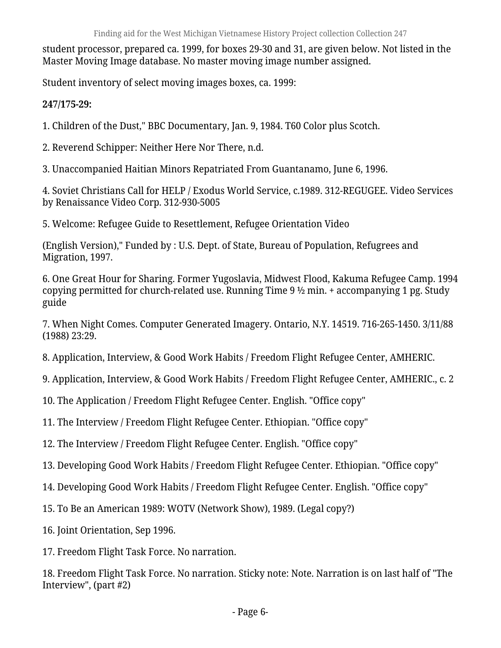student processor, prepared ca. 1999, for boxes 29-30 and 31, are given below. Not listed in the Master Moving Image database. No master moving image number assigned.

Student inventory of select moving images boxes, ca. 1999:

**247/175-29:**

1. Children of the Dust," BBC Documentary, Jan. 9, 1984. T60 Color plus Scotch.

2. Reverend Schipper: Neither Here Nor There, n.d.

3. Unaccompanied Haitian Minors Repatriated From Guantanamo, June 6, 1996.

4. Soviet Christians Call for HELP / Exodus World Service, c.1989. 312-REGUGEE. Video Services by Renaissance Video Corp. 312-930-5005

5. Welcome: Refugee Guide to Resettlement, Refugee Orientation Video

(English Version)," Funded by : U.S. Dept. of State, Bureau of Population, Refugrees and Migration, 1997.

6. One Great Hour for Sharing. Former Yugoslavia, Midwest Flood, Kakuma Refugee Camp. 1994 copying permitted for church-related use. Running Time 9 ½ min. + accompanying 1 pg. Study guide

7. When Night Comes. Computer Generated Imagery. Ontario, N.Y. 14519. 716-265-1450. 3/11/88 (1988) 23:29.

8. Application, Interview, & Good Work Habits / Freedom Flight Refugee Center, AMHERIC.

9. Application, Interview, & Good Work Habits / Freedom Flight Refugee Center, AMHERIC., c. 2

10. The Application / Freedom Flight Refugee Center. English. "Office copy"

11. The Interview / Freedom Flight Refugee Center. Ethiopian. "Office copy"

12. The Interview / Freedom Flight Refugee Center. English. "Office copy"

13. Developing Good Work Habits / Freedom Flight Refugee Center. Ethiopian. "Office copy"

- 14. Developing Good Work Habits / Freedom Flight Refugee Center. English. "Office copy"
- 15. To Be an American 1989: WOTV (Network Show), 1989. (Legal copy?)
- 16. Joint Orientation, Sep 1996.
- 17. Freedom Flight Task Force. No narration.

18. Freedom Flight Task Force. No narration. Sticky note: Note. Narration is on last half of "The Interview", (part #2)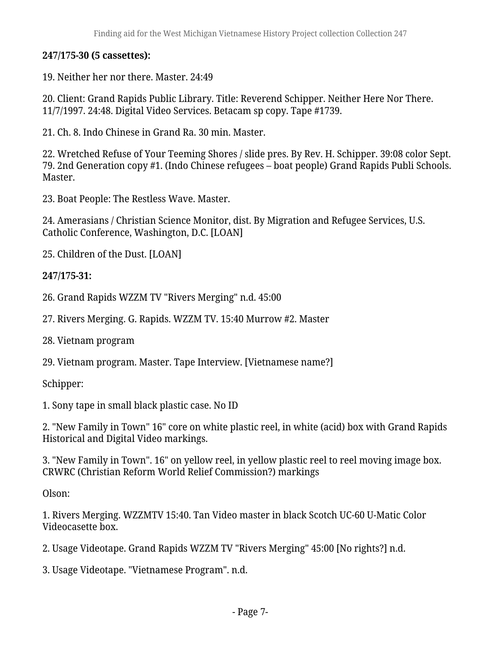#### **247/175-30 (5 cassettes):**

#### 19. Neither her nor there. Master. 24:49

20. Client: Grand Rapids Public Library. Title: Reverend Schipper. Neither Here Nor There. 11/7/1997. 24:48. Digital Video Services. Betacam sp copy. Tape #1739.

21. Ch. 8. Indo Chinese in Grand Ra. 30 min. Master.

22. Wretched Refuse of Your Teeming Shores / slide pres. By Rev. H. Schipper. 39:08 color Sept. 79. 2nd Generation copy #1. (Indo Chinese refugees – boat people) Grand Rapids Publi Schools. Master.

23. Boat People: The Restless Wave. Master.

24. Amerasians / Christian Science Monitor, dist. By Migration and Refugee Services, U.S. Catholic Conference, Washington, D.C. [LOAN]

25. Children of the Dust. [LOAN]

#### **247/175-31:**

26. Grand Rapids WZZM TV "Rivers Merging" n.d. 45:00

27. Rivers Merging. G. Rapids. WZZM TV. 15:40 Murrow #2. Master

28. Vietnam program

29. Vietnam program. Master. Tape Interview. [Vietnamese name?]

Schipper:

1. Sony tape in small black plastic case. No ID

2. "New Family in Town" 16" core on white plastic reel, in white (acid) box with Grand Rapids Historical and Digital Video markings.

3. "New Family in Town". 16" on yellow reel, in yellow plastic reel to reel moving image box. CRWRC (Christian Reform World Relief Commission?) markings

Olson:

1. Rivers Merging. WZZMTV 15:40. Tan Video master in black Scotch UC-60 U-Matic Color Videocasette box.

2. Usage Videotape. Grand Rapids WZZM TV "Rivers Merging" 45:00 [No rights?] n.d.

3. Usage Videotape. "Vietnamese Program". n.d.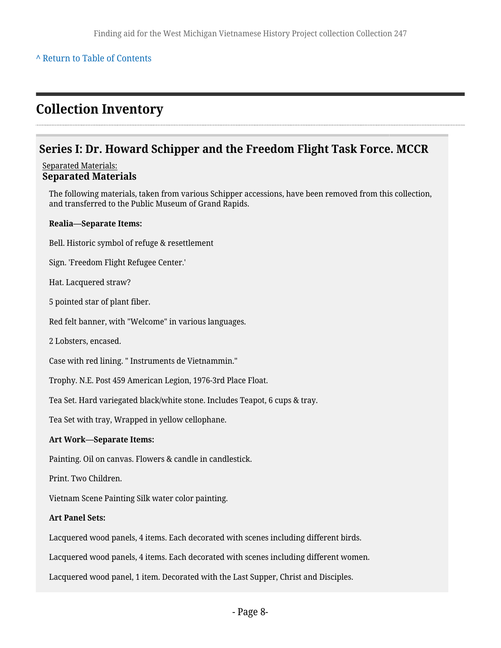#### **^** [Return to Table of Contents](#page-1-0)

### <span id="page-7-0"></span>**Collection Inventory**

#### <span id="page-7-1"></span>**Series I: Dr. Howard Schipper and the Freedom Flight Task Force. MCCR**

#### Separated Materials: **Separated Materials**

The following materials, taken from various Schipper accessions, have been removed from this collection, and transferred to the Public Museum of Grand Rapids.

#### **Realia—Separate Items:**

Bell. Historic symbol of refuge & resettlement

Sign. 'Freedom Flight Refugee Center.'

Hat. Lacquered straw?

5 pointed star of plant fiber.

Red felt banner, with "Welcome" in various languages.

2 Lobsters, encased.

Case with red lining. " Instruments de Vietnammin."

Trophy. N.E. Post 459 American Legion, 1976-3rd Place Float.

Tea Set. Hard variegated black/white stone. Includes Teapot, 6 cups & tray.

Tea Set with tray, Wrapped in yellow cellophane.

#### **Art Work—Separate Items:**

Painting. Oil on canvas. Flowers & candle in candlestick.

Print. Two Children.

Vietnam Scene Painting Silk water color painting.

#### **Art Panel Sets:**

Lacquered wood panels, 4 items. Each decorated with scenes including different birds.

Lacquered wood panels, 4 items. Each decorated with scenes including different women.

Lacquered wood panel, 1 item. Decorated with the Last Supper, Christ and Disciples.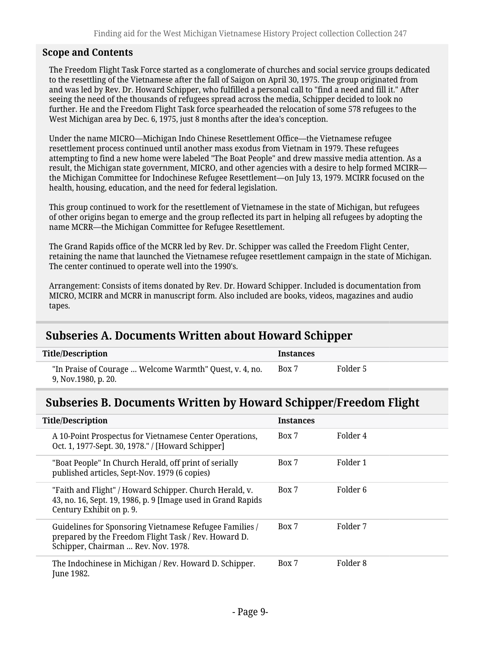#### **Scope and Contents**

The Freedom Flight Task Force started as a conglomerate of churches and social service groups dedicated to the resettling of the Vietnamese after the fall of Saigon on April 30, 1975. The group originated from and was led by Rev. Dr. Howard Schipper, who fulfilled a personal call to "find a need and fill it." After seeing the need of the thousands of refugees spread across the media, Schipper decided to look no further. He and the Freedom Flight Task force spearheaded the relocation of some 578 refugees to the West Michigan area by Dec. 6, 1975, just 8 months after the idea's conception.

Under the name MICRO—Michigan Indo Chinese Resettlement Office—the Vietnamese refugee resettlement process continued until another mass exodus from Vietnam in 1979. These refugees attempting to find a new home were labeled "The Boat People" and drew massive media attention. As a result, the Michigan state government, MICRO, and other agencies with a desire to help formed MCIRR the Michigan Committee for Indochinese Refugee Resettlement—on July 13, 1979. MCIRR focused on the health, housing, education, and the need for federal legislation.

This group continued to work for the resettlement of Vietnamese in the state of Michigan, but refugees of other origins began to emerge and the group reflected its part in helping all refugees by adopting the name MCRR—the Michigan Committee for Refugee Resettlement.

The Grand Rapids office of the MCRR led by Rev. Dr. Schipper was called the Freedom Flight Center, retaining the name that launched the Vietnamese refugee resettlement campaign in the state of Michigan. The center continued to operate well into the 1990's.

Arrangement: Consists of items donated by Rev. Dr. Howard Schipper. Included is documentation from MICRO, MCIRR and MCRR in manuscript form. Also included are books, videos, magazines and audio tapes.

#### <span id="page-8-0"></span>**Subseries A. Documents Written about Howard Schipper**

| <b>Title/Description</b>                                                       | <b>Instances</b> |          |
|--------------------------------------------------------------------------------|------------------|----------|
| "In Praise of Courage  Welcome Warmth" Quest, v. 4, no.<br>9, Nov.1980, p. 20. | Box 7            | Folder 5 |

#### <span id="page-8-1"></span>**Subseries B. Documents Written by Howard Schipper/Freedom Flight**

| <b>Title/Description</b>                                                                                                                               | <b>Instances</b> |          |
|--------------------------------------------------------------------------------------------------------------------------------------------------------|------------------|----------|
| A 10-Point Prospectus for Vietnamese Center Operations,<br>Oct. 1, 1977-Sept. 30, 1978." / [Howard Schipper]                                           | Box 7            | Folder 4 |
| "Boat People" In Church Herald, off print of serially<br>published articles, Sept-Nov. 1979 (6 copies)                                                 | Box 7            | Folder 1 |
| "Faith and Flight" / Howard Schipper. Church Herald, v.<br>43, no. 16, Sept. 19, 1986, p. 9 [Image used in Grand Rapids]<br>Century Exhibit on p. 9.   | Box 7            | Folder 6 |
| Guidelines for Sponsoring Vietnamese Refugee Families /<br>prepared by the Freedom Flight Task / Rev. Howard D.<br>Schipper, Chairman  Rev. Nov. 1978. | Box 7            | Folder 7 |
| The Indochinese in Michigan / Rev. Howard D. Schipper.<br>June 1982.                                                                                   | Box 7            | Folder 8 |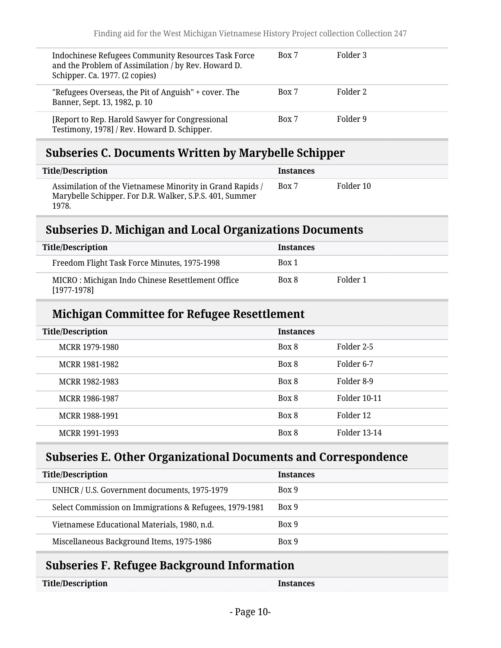| Indochinese Refugees Community Resources Task Force<br>and the Problem of Assimilation / by Rev. Howard D.<br>Schipper. Ca. 1977. (2 copies) | Box 7 | Folder 3 |
|----------------------------------------------------------------------------------------------------------------------------------------------|-------|----------|
| "Refugees Overseas, the Pit of Anguish" + cover. The<br>Banner, Sept. 13, 1982, p. 10                                                        | Box 7 | Folder 2 |
| [Report to Rep. Harold Sawyer for Congressional<br>Testimony, 1978] / Rev. Howard D. Schipper.                                               | Box 7 | Folder 9 |

### <span id="page-9-0"></span>**Subseries C. Documents Written by Marybelle Schipper**

| Title/Description                                                                                                             | <b>Instances</b> |           |
|-------------------------------------------------------------------------------------------------------------------------------|------------------|-----------|
| Assimilation of the Vietnamese Minority in Grand Rapids /<br>Marybelle Schipper. For D.R. Walker, S.P.S. 401, Summer<br>1978. | Box 7            | Folder 10 |

### <span id="page-9-1"></span>**Subseries D. Michigan and Local Organizations Documents**

| <b>Title/Description</b>                                          | <b>Instances</b> |          |
|-------------------------------------------------------------------|------------------|----------|
| Freedom Flight Task Force Minutes, 1975-1998                      | Box 1            |          |
| MICRO: Michigan Indo Chinese Resettlement Office<br>$[1977-1978]$ | Box 8            | Folder 1 |

### **Michigan Committee for Refugee Resettlement**

| <b>Title/Description</b> | <b>Instances</b> |                     |
|--------------------------|------------------|---------------------|
| MCRR 1979-1980           | Box 8            | Folder 2-5          |
| MCRR 1981-1982           | Box 8            | Folder 6-7          |
| MCRR 1982-1983           | Box 8            | Folder 8-9          |
| MCRR 1986-1987           | Box 8            | <b>Folder 10-11</b> |
| MCRR 1988-1991           | Box 8            | Folder 12           |
| MCRR 1991-1993           | Box 8            | <b>Folder 13-14</b> |

# <span id="page-9-2"></span>**Subseries E. Other Organizational Documents and Correspondence**

| <b>Title/Description</b>                                | <b>Instances</b> |
|---------------------------------------------------------|------------------|
| UNHCR / U.S. Government documents, 1975-1979            | Box 9            |
| Select Commission on Immigrations & Refugees, 1979-1981 | Box 9            |
| Vietnamese Educational Materials, 1980, n.d.            | Box 9            |
| Miscellaneous Background Items, 1975-1986               | Box 9            |

# <span id="page-9-3"></span>**Subseries F. Refugee Background Information**

| Title/Description | <b>Instances</b> |
|-------------------|------------------|
|-------------------|------------------|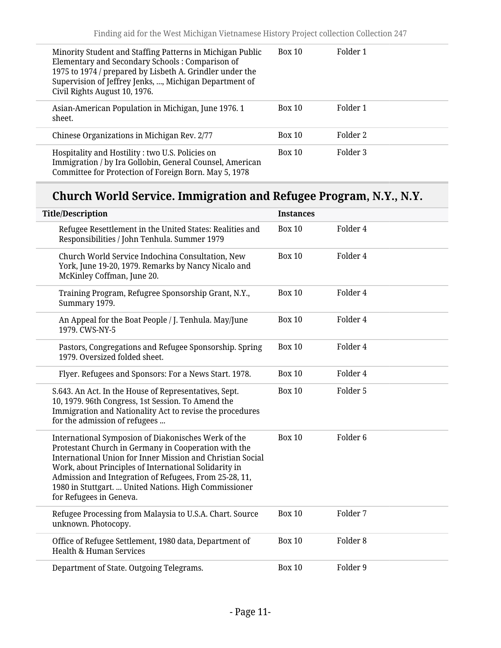| Minority Student and Staffing Patterns in Michigan Public<br>Elementary and Secondary Schools: Comparison of<br>1975 to 1974 / prepared by Lisbeth A. Grindler under the<br>Supervision of Jeffrey Jenks, , Michigan Department of<br>Civil Rights August 10, 1976. | <b>Box 10</b> | Folder 1 |
|---------------------------------------------------------------------------------------------------------------------------------------------------------------------------------------------------------------------------------------------------------------------|---------------|----------|
| Asian-American Population in Michigan, June 1976. 1<br>sheet.                                                                                                                                                                                                       | <b>Box 10</b> | Folder 1 |
| Chinese Organizations in Michigan Rev. 2/77                                                                                                                                                                                                                         | Box 10        | Folder 2 |
| Hospitality and Hostility : two U.S. Policies on<br>Immigration / by Ira Gollobin, General Counsel, American<br>Committee for Protection of Foreign Born. May 5, 1978                                                                                               | Box 10        | Folder 3 |

# **Church World Service. Immigration and Refugee Program, N.Y., N.Y.**

| <b>Title/Description</b>                                                                                                                                                                                                                                                                                                                                                         | <b>Instances</b> |                     |
|----------------------------------------------------------------------------------------------------------------------------------------------------------------------------------------------------------------------------------------------------------------------------------------------------------------------------------------------------------------------------------|------------------|---------------------|
| Refugee Resettlement in the United States: Realities and<br>Responsibilities / John Tenhula. Summer 1979                                                                                                                                                                                                                                                                         | <b>Box 10</b>    | Folder 4            |
| Church World Service Indochina Consultation, New<br>York, June 19-20, 1979. Remarks by Nancy Nicalo and<br>McKinley Coffman, June 20.                                                                                                                                                                                                                                            | <b>Box 10</b>    | Folder 4            |
| Training Program, Refugree Sponsorship Grant, N.Y.,<br>Summary 1979.                                                                                                                                                                                                                                                                                                             | <b>Box 10</b>    | Folder 4            |
| An Appeal for the Boat People / J. Tenhula. May/June<br>1979. CWS-NY-5                                                                                                                                                                                                                                                                                                           | <b>Box 10</b>    | Folder 4            |
| Pastors, Congregations and Refugee Sponsorship. Spring<br>1979. Oversized folded sheet.                                                                                                                                                                                                                                                                                          | <b>Box 10</b>    | Folder 4            |
| Flyer. Refugees and Sponsors: For a News Start. 1978.                                                                                                                                                                                                                                                                                                                            | <b>Box 10</b>    | Folder 4            |
| S.643. An Act. In the House of Representatives, Sept.<br>10, 1979. 96th Congress, 1st Session. To Amend the<br>Immigration and Nationality Act to revise the procedures<br>for the admission of refugees                                                                                                                                                                         | <b>Box 10</b>    | Folder 5            |
| International Symposion of Diakonisches Werk of the<br>Protestant Church in Germany in Cooperation with the<br>International Union for Inner Mission and Christian Social<br>Work, about Principles of International Solidarity in<br>Admission and Integration of Refugees, From 25-28, 11,<br>1980 in Stuttgart.  United Nations. High Commissioner<br>for Refugees in Geneva. | <b>Box 10</b>    | Folder <sub>6</sub> |
| Refugee Processing from Malaysia to U.S.A. Chart. Source<br>unknown. Photocopy.                                                                                                                                                                                                                                                                                                  | <b>Box 10</b>    | Folder 7            |
| Office of Refugee Settlement, 1980 data, Department of<br><b>Health &amp; Human Services</b>                                                                                                                                                                                                                                                                                     | <b>Box 10</b>    | Folder <sub>8</sub> |
| Department of State. Outgoing Telegrams.                                                                                                                                                                                                                                                                                                                                         | <b>Box 10</b>    | Folder 9            |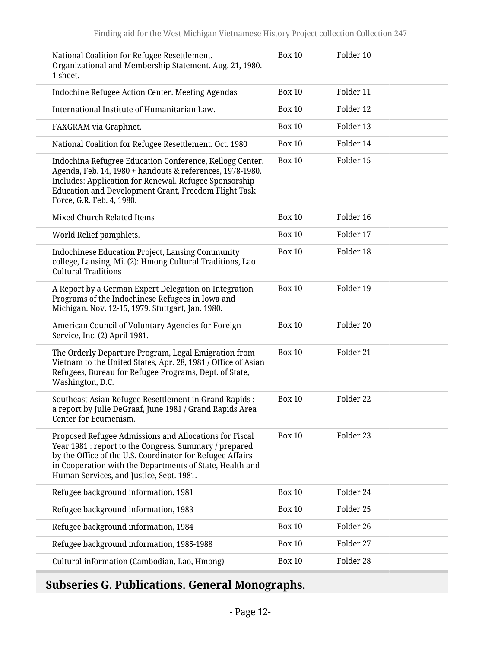| 1 sheet.                   | National Coalition for Refugee Resettlement.<br>Organizational and Membership Statement. Aug. 21, 1980.                                                                                                                                                                               | <b>Box 10</b> | Folder 10 |
|----------------------------|---------------------------------------------------------------------------------------------------------------------------------------------------------------------------------------------------------------------------------------------------------------------------------------|---------------|-----------|
|                            | Indochine Refugee Action Center. Meeting Agendas                                                                                                                                                                                                                                      | <b>Box 10</b> | Folder 11 |
|                            | International Institute of Humanitarian Law.                                                                                                                                                                                                                                          | <b>Box 10</b> | Folder 12 |
|                            | FAXGRAM via Graphnet.                                                                                                                                                                                                                                                                 | <b>Box 10</b> | Folder 13 |
|                            | National Coalition for Refugee Resettlement. Oct. 1980                                                                                                                                                                                                                                | <b>Box 10</b> | Folder 14 |
|                            | Indochina Refugree Education Conference, Kellogg Center.<br>Agenda, Feb. 14, 1980 + handouts & references, 1978-1980.<br>Includes: Application for Renewal. Refugee Sponsorship<br>Education and Development Grant, Freedom Flight Task<br>Force, G.R. Feb. 4, 1980.                  | <b>Box 10</b> | Folder 15 |
|                            | Mixed Church Related Items                                                                                                                                                                                                                                                            | <b>Box 10</b> | Folder 16 |
|                            | World Relief pamphlets.                                                                                                                                                                                                                                                               | <b>Box 10</b> | Folder 17 |
| <b>Cultural Traditions</b> | <b>Indochinese Education Project, Lansing Community</b><br>college, Lansing, Mi. (2): Hmong Cultural Traditions, Lao                                                                                                                                                                  | <b>Box 10</b> | Folder 18 |
|                            | A Report by a German Expert Delegation on Integration<br>Programs of the Indochinese Refugees in Iowa and<br>Michigan. Nov. 12-15, 1979. Stuttgart, Jan. 1980.                                                                                                                        | <b>Box 10</b> | Folder 19 |
|                            | American Council of Voluntary Agencies for Foreign<br>Service, Inc. (2) April 1981.                                                                                                                                                                                                   | <b>Box 10</b> | Folder 20 |
| Washington, D.C.           | The Orderly Departure Program, Legal Emigration from<br>Vietnam to the United States, Apr. 28, 1981 / Office of Asian<br>Refugees, Bureau for Refugee Programs, Dept. of State,                                                                                                       | <b>Box 10</b> | Folder 21 |
|                            | Southeast Asian Refugee Resettlement in Grand Rapids :<br>a report by Julie DeGraaf, June 1981 / Grand Rapids Area<br>Center for Ecumenism.                                                                                                                                           | <b>Box 10</b> | Folder 22 |
|                            | Proposed Refugee Admissions and Allocations for Fiscal<br>Year 1981 : report to the Congress. Summary / prepared<br>by the Office of the U.S. Coordinator for Refugee Affairs<br>in Cooperation with the Departments of State, Health and<br>Human Services, and Justice, Sept. 1981. | <b>Box 10</b> | Folder 23 |
|                            | Refugee background information, 1981                                                                                                                                                                                                                                                  | <b>Box 10</b> | Folder 24 |
|                            | Refugee background information, 1983                                                                                                                                                                                                                                                  | <b>Box 10</b> | Folder 25 |
|                            | Refugee background information, 1984                                                                                                                                                                                                                                                  | <b>Box 10</b> | Folder 26 |
|                            | Refugee background information, 1985-1988                                                                                                                                                                                                                                             | <b>Box 10</b> | Folder 27 |
|                            | Cultural information (Cambodian, Lao, Hmong)                                                                                                                                                                                                                                          | <b>Box 10</b> | Folder 28 |

# <span id="page-11-0"></span>**Subseries G. Publications. General Monographs.**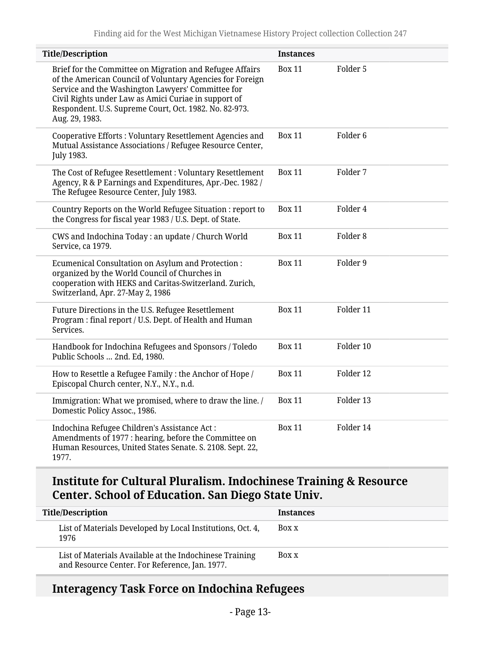| <b>Title/Description</b>                                                                                                                                                                                                                                                                                       | <b>Instances</b> |                     |
|----------------------------------------------------------------------------------------------------------------------------------------------------------------------------------------------------------------------------------------------------------------------------------------------------------------|------------------|---------------------|
| Brief for the Committee on Migration and Refugee Affairs<br>of the American Council of Voluntary Agencies for Foreign<br>Service and the Washington Lawyers' Committee for<br>Civil Rights under Law as Amici Curiae in support of<br>Respondent. U.S. Supreme Court, Oct. 1982. No. 82-973.<br>Aug. 29, 1983. | <b>Box 11</b>    | Folder 5            |
| Cooperative Efforts: Voluntary Resettlement Agencies and<br>Mutual Assistance Associations / Refugee Resource Center,<br>July 1983.                                                                                                                                                                            | <b>Box 11</b>    | Folder <sub>6</sub> |
| The Cost of Refugee Resettlement: Voluntary Resettlement<br>Agency, R & P Earnings and Expenditures, Apr.-Dec. 1982 /<br>The Refugee Resource Center, July 1983.                                                                                                                                               | <b>Box 11</b>    | Folder 7            |
| Country Reports on the World Refugee Situation : report to<br>the Congress for fiscal year 1983 / U.S. Dept. of State.                                                                                                                                                                                         | <b>Box 11</b>    | Folder 4            |
| CWS and Indochina Today: an update / Church World<br>Service, ca 1979.                                                                                                                                                                                                                                         | <b>Box 11</b>    | Folder 8            |
| Ecumenical Consultation on Asylum and Protection :<br>organized by the World Council of Churches in<br>cooperation with HEKS and Caritas-Switzerland. Zurich,<br>Switzerland, Apr. 27-May 2, 1986                                                                                                              | <b>Box 11</b>    | Folder 9            |
| Future Directions in the U.S. Refugee Resettlement<br>Program: final report / U.S. Dept. of Health and Human<br>Services.                                                                                                                                                                                      | <b>Box 11</b>    | Folder 11           |
| Handbook for Indochina Refugees and Sponsors / Toledo<br>Public Schools  2nd. Ed, 1980.                                                                                                                                                                                                                        | <b>Box 11</b>    | Folder 10           |
| How to Resettle a Refugee Family : the Anchor of Hope /<br>Episcopal Church center, N.Y., N.Y., n.d.                                                                                                                                                                                                           | <b>Box 11</b>    | Folder 12           |
| Immigration: What we promised, where to draw the line. /<br>Domestic Policy Assoc., 1986.                                                                                                                                                                                                                      | <b>Box 11</b>    | Folder 13           |
| Indochina Refugee Children's Assistance Act:<br>Amendments of 1977 : hearing, before the Committee on<br>Human Resources, United States Senate. S. 2108. Sept. 22,<br>1977.                                                                                                                                    | <b>Box 11</b>    | Folder 14           |

### **Institute for Cultural Pluralism. Indochinese Training & Resource Center. School of Education. San Diego State Univ.**

| <b>Title/Description</b>                                                                                  | <b>Instances</b> |
|-----------------------------------------------------------------------------------------------------------|------------------|
| List of Materials Developed by Local Institutions, Oct. 4,<br>1976                                        | Box x            |
| List of Materials Available at the Indochinese Training<br>and Resource Center. For Reference, Jan. 1977. | Box x            |

# **Interagency Task Force on Indochina Refugees**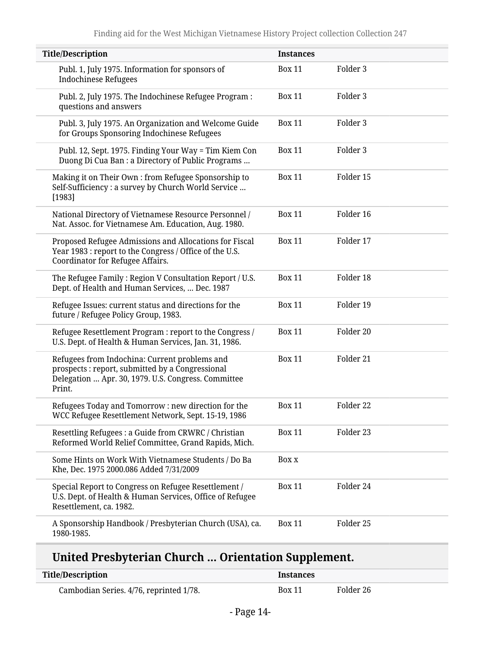| <b>Title/Description</b>                                                                                                                                           | <b>Instances</b> |                     |  |
|--------------------------------------------------------------------------------------------------------------------------------------------------------------------|------------------|---------------------|--|
| Publ. 1, July 1975. Information for sponsors of<br><b>Indochinese Refugees</b>                                                                                     | <b>Box 11</b>    | Folder 3            |  |
| Publ. 2, July 1975. The Indochinese Refugee Program:<br>questions and answers                                                                                      | <b>Box 11</b>    | Folder <sub>3</sub> |  |
| Publ. 3, July 1975. An Organization and Welcome Guide<br>for Groups Sponsoring Indochinese Refugees                                                                | <b>Box 11</b>    | Folder <sub>3</sub> |  |
| Publ. 12, Sept. 1975. Finding Your Way = Tim Kiem Con<br>Duong Di Cua Ban : a Directory of Public Programs                                                         | <b>Box 11</b>    | Folder 3            |  |
| Making it on Their Own : from Refugee Sponsorship to<br>Self-Sufficiency : a survey by Church World Service<br>[1983]                                              | <b>Box 11</b>    | Folder 15           |  |
| National Directory of Vietnamese Resource Personnel /<br>Nat. Assoc. for Vietnamese Am. Education, Aug. 1980.                                                      | <b>Box 11</b>    | Folder 16           |  |
| Proposed Refugee Admissions and Allocations for Fiscal<br>Year 1983 : report to the Congress / Office of the U.S.<br>Coordinator for Refugee Affairs.              | <b>Box 11</b>    | Folder 17           |  |
| The Refugee Family: Region V Consultation Report / U.S.<br>Dept. of Health and Human Services,  Dec. 1987                                                          | <b>Box 11</b>    | Folder 18           |  |
| Refugee Issues: current status and directions for the<br>future / Refugee Policy Group, 1983.                                                                      | <b>Box 11</b>    | Folder 19           |  |
| Refugee Resettlement Program : report to the Congress /<br>U.S. Dept. of Health & Human Services, Jan. 31, 1986.                                                   | <b>Box 11</b>    | Folder 20           |  |
| Refugees from Indochina: Current problems and<br>prospects : report, submitted by a Congressional<br>Delegation  Apr. 30, 1979. U.S. Congress. Committee<br>Print. | <b>Box 11</b>    | Folder 21           |  |
| Refugees Today and Tomorrow: new direction for the<br>WCC Refugee Resettlement Network, Sept. 15-19, 1986                                                          | <b>Box 11</b>    | Folder 22           |  |
| Resettling Refugees : a Guide from CRWRC / Christian<br>Reformed World Relief Committee, Grand Rapids, Mich.                                                       | <b>Box 11</b>    | Folder 23           |  |
| Some Hints on Work With Vietnamese Students / Do Ba<br>Khe, Dec. 1975 2000.086 Added 7/31/2009                                                                     | Box x            |                     |  |
| Special Report to Congress on Refugee Resettlement /<br>U.S. Dept. of Health & Human Services, Office of Refugee<br>Resettlement, ca. 1982.                        | <b>Box 11</b>    | Folder 24           |  |
| A Sponsorship Handbook / Presbyterian Church (USA), ca.<br>1980-1985.                                                                                              | <b>Box 11</b>    | Folder 25           |  |

# **United Presbyterian Church … Orientation Supplement.**

| <b>Title/Description</b>                | <b>Instances</b> |           |
|-----------------------------------------|------------------|-----------|
| Cambodian Series. 4/76, reprinted 1/78. | <b>Box 11</b>    | Folder 26 |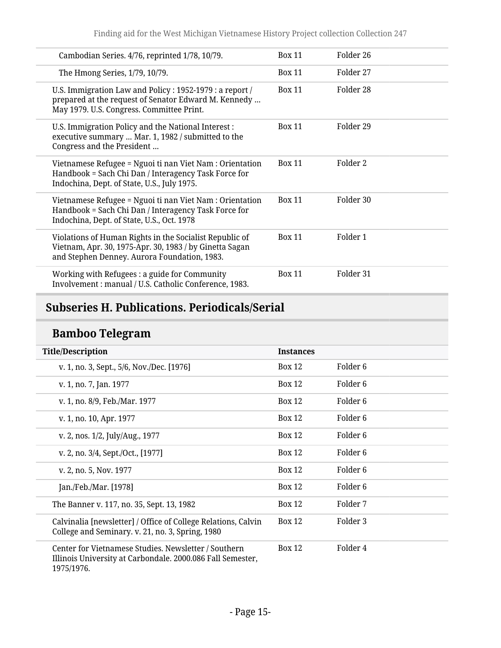| Cambodian Series. 4/76, reprinted 1/78, 10/79.                                                                                                                     | <b>Box 11</b> | Folder 26 |
|--------------------------------------------------------------------------------------------------------------------------------------------------------------------|---------------|-----------|
| The Hmong Series, 1/79, 10/79.                                                                                                                                     | <b>Box 11</b> | Folder 27 |
| U.S. Immigration Law and Policy : 1952-1979 : a report /<br>prepared at the request of Senator Edward M. Kennedy<br>May 1979. U.S. Congress. Committee Print.      | <b>Box 11</b> | Folder 28 |
| U.S. Immigration Policy and the National Interest :<br>executive summary  Mar. 1, 1982 / submitted to the<br>Congress and the President                            | <b>Box 11</b> | Folder 29 |
| Vietnamese Refugee = Nguoi ti nan Viet Nam : Orientation<br>Handbook = Sach Chi Dan / Interagency Task Force for<br>Indochina, Dept. of State, U.S., July 1975.    | <b>Box 11</b> | Folder 2  |
| Vietnamese Refugee = Nguoi ti nan Viet Nam : Orientation<br>Handbook = Sach Chi Dan / Interagency Task Force for<br>Indochina, Dept. of State, U.S., Oct. 1978     | <b>Box 11</b> | Folder 30 |
| Violations of Human Rights in the Socialist Republic of<br>Vietnam, Apr. 30, 1975-Apr. 30, 1983 / by Ginetta Sagan<br>and Stephen Denney. Aurora Foundation, 1983. | <b>Box 11</b> | Folder 1  |
| Working with Refugees : a guide for Community<br>Involvement : manual / U.S. Catholic Conference, 1983.                                                            | <b>Box 11</b> | Folder 31 |

# <span id="page-14-0"></span>**Subseries H. Publications. Periodicals/Serial**

# **Bamboo Telegram**

| <b>Title/Description</b>                                                                                                         | <b>Instances</b> |                     |
|----------------------------------------------------------------------------------------------------------------------------------|------------------|---------------------|
| v. 1, no. 3, Sept., 5/6, Nov./Dec. [1976]                                                                                        | <b>Box 12</b>    | Folder 6            |
| v. 1, no. 7, Jan. 1977                                                                                                           | <b>Box 12</b>    | Folder 6            |
| v. 1, no. 8/9, Feb./Mar. 1977                                                                                                    | <b>Box 12</b>    | Folder 6            |
| v. 1, no. 10, Apr. 1977                                                                                                          | <b>Box 12</b>    | Folder 6            |
| v. 2, nos. 1/2, July/Aug., 1977                                                                                                  | <b>Box 12</b>    | Folder 6            |
| v. 2, no. 3/4, Sept./Oct., [1977]                                                                                                | <b>Box 12</b>    | Folder <sub>6</sub> |
| v. 2, no. 5, Nov. 1977                                                                                                           | <b>Box 12</b>    | Folder <sub>6</sub> |
| Jan./Feb./Mar. [1978]                                                                                                            | <b>Box 12</b>    | Folder <sub>6</sub> |
| The Banner v. 117, no. 35, Sept. 13, 1982                                                                                        | <b>Box 12</b>    | Folder 7            |
| Calvinalia [newsletter] / Office of College Relations, Calvin<br>College and Seminary. v. 21, no. 3, Spring, 1980                | <b>Box 12</b>    | Folder 3            |
| Center for Vietnamese Studies. Newsletter / Southern<br>Illinois University at Carbondale. 2000.086 Fall Semester,<br>1975/1976. | <b>Box 12</b>    | Folder 4            |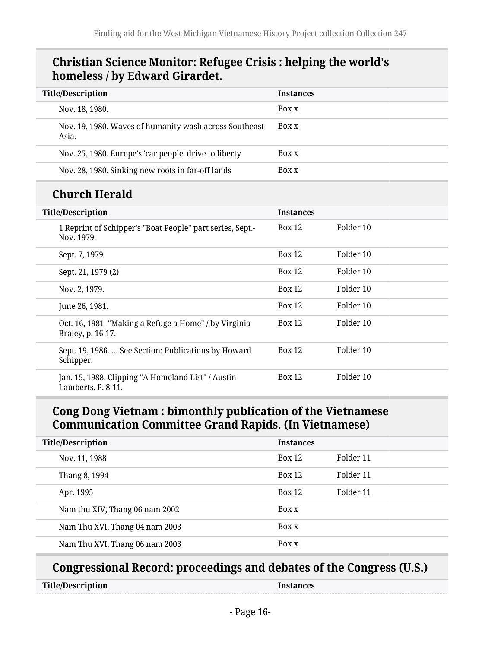#### **Christian Science Monitor: Refugee Crisis : helping the world's homeless / by Edward Girardet.**

| <b>Title/Description</b>                                                | <b>Instances</b> |           |
|-------------------------------------------------------------------------|------------------|-----------|
| Nov. 18, 1980.                                                          | Box x            |           |
| Nov. 19, 1980. Waves of humanity wash across Southeast<br>Asia.         | Box x            |           |
| Nov. 25, 1980. Europe's 'car people' drive to liberty                   | Box x            |           |
| Nov. 28, 1980. Sinking new roots in far-off lands                       | Box x            |           |
| <b>Church Herald</b>                                                    |                  |           |
| <b>Title/Description</b>                                                | <b>Instances</b> |           |
| 1 Reprint of Schipper's "Boat People" part series, Sept.-<br>Nov. 1979. | <b>Box 12</b>    | Folder 10 |
| Sept. 7, 1979                                                           | <b>Box 12</b>    | Folder 10 |
| Sept. 21, 1979 (2)                                                      | <b>Box 12</b>    | Folder 10 |
| Nov. 2, 1979.                                                           | <b>Box 12</b>    | Folder 10 |

#### **Cong Dong Vietnam : bimonthly publication of the Vietnamese Communication Committee Grand Rapids. (In Vietnamese)**

June 26, 1981. Box 12 Folder 10

Oct. 16, 1981. "Making a Refuge a Home" / by Virginia

Sept. 19, 1986. … See Section: Publications by Howard

Jan. 15, 1988. Clipping "A Homeland List" / Austin

| <b>Title/Description</b>       | <b>Instances</b> |           |
|--------------------------------|------------------|-----------|
| Nov. 11, 1988                  | Box 12           | Folder 11 |
| Thang 8, 1994                  | Box 12           | Folder 11 |
| Apr. 1995                      | Box 12           | Folder 11 |
| Nam thu XIV, Thang 06 nam 2002 | Box x            |           |
| Nam Thu XVI, Thang 04 nam 2003 | Box x            |           |
| Nam Thu XVI, Thang 06 nam 2003 | Box x            |           |

#### **Congressional Record: proceedings and debates of the Congress (U.S.)**

| <b>Title/Description</b> |  |
|--------------------------|--|
|--------------------------|--|

Braley, p. 16-17.

Lamberts. P. 8-11.

Schipper.

**Instances** 

Box 12 Folder 10

Box 12 Folder 10

Box 12 Folder 10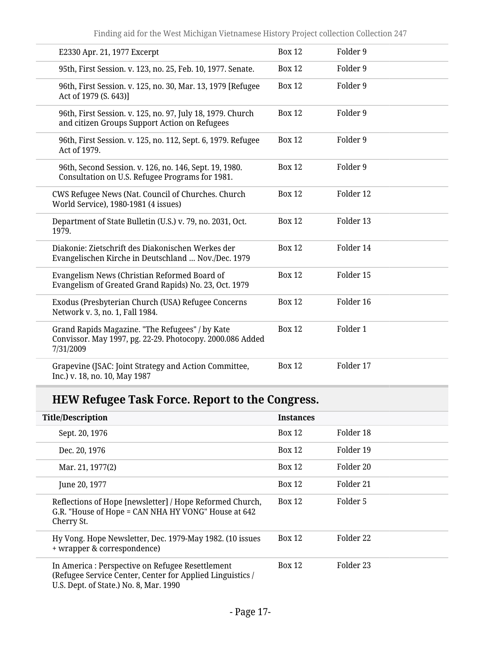| E2330 Apr. 21, 1977 Excerpt                                                                                               | <b>Box 12</b> | Folder 9  |
|---------------------------------------------------------------------------------------------------------------------------|---------------|-----------|
| 95th, First Session. v. 123, no. 25, Feb. 10, 1977. Senate.                                                               | <b>Box 12</b> | Folder 9  |
| 96th, First Session. v. 125, no. 30, Mar. 13, 1979 [Refugee<br>Act of 1979 (S. 643)]                                      | <b>Box 12</b> | Folder 9  |
| 96th, First Session. v. 125, no. 97, July 18, 1979. Church<br>and citizen Groups Support Action on Refugees               | <b>Box 12</b> | Folder 9  |
| 96th, First Session. v. 125, no. 112, Sept. 6, 1979. Refugee<br>Act of 1979.                                              | <b>Box 12</b> | Folder 9  |
| 96th, Second Session. v. 126, no. 146, Sept. 19, 1980.<br>Consultation on U.S. Refugee Programs for 1981.                 | <b>Box 12</b> | Folder 9  |
| CWS Refugee News (Nat. Council of Churches. Church<br>World Service), 1980-1981 (4 issues)                                | <b>Box 12</b> | Folder 12 |
| Department of State Bulletin (U.S.) v. 79, no. 2031, Oct.<br>1979.                                                        | <b>Box 12</b> | Folder 13 |
| Diakonie: Zietschrift des Diakonischen Werkes der<br>Evangelischen Kirche in Deutschland  Nov./Dec. 1979                  | <b>Box 12</b> | Folder 14 |
| Evangelism News (Christian Reformed Board of<br>Evangelism of Greated Grand Rapids) No. 23, Oct. 1979                     | <b>Box 12</b> | Folder 15 |
| Exodus (Presbyterian Church (USA) Refugee Concerns<br>Network v. 3, no. 1, Fall 1984.                                     | <b>Box 12</b> | Folder 16 |
| Grand Rapids Magazine. "The Refugees" / by Kate<br>Convissor. May 1997, pg. 22-29. Photocopy. 2000.086 Added<br>7/31/2009 | <b>Box 12</b> | Folder 1  |
| Grapevine (JSAC: Joint Strategy and Action Committee,<br>Inc.) v. 18, no. 10, May 1987                                    | <b>Box 12</b> | Folder 17 |

# **HEW Refugee Task Force. Report to the Congress.**

| <b>Title/Description</b>                                                                                                                                | <b>Instances</b> |           |
|---------------------------------------------------------------------------------------------------------------------------------------------------------|------------------|-----------|
| Sept. 20, 1976                                                                                                                                          | <b>Box 12</b>    | Folder 18 |
| Dec. 20, 1976                                                                                                                                           | <b>Box 12</b>    | Folder 19 |
| Mar. 21, 1977(2)                                                                                                                                        | <b>Box 12</b>    | Folder 20 |
| June 20, 1977                                                                                                                                           | <b>Box 12</b>    | Folder 21 |
| Reflections of Hope [newsletter] / Hope Reformed Church,<br>G.R. "House of Hope = CAN NHA HY VONG" House at 642<br>Cherry St.                           | <b>Box 12</b>    | Folder 5  |
| Hy Vong. Hope Newsletter, Dec. 1979-May 1982. (10 issues<br>+ wrapper & correspondence)                                                                 | <b>Box 12</b>    | Folder 22 |
| In America : Perspective on Refugee Resettlement<br>(Refugee Service Center, Center for Applied Linguistics /<br>U.S. Dept. of State.) No. 8, Mar. 1990 | <b>Box 12</b>    | Folder 23 |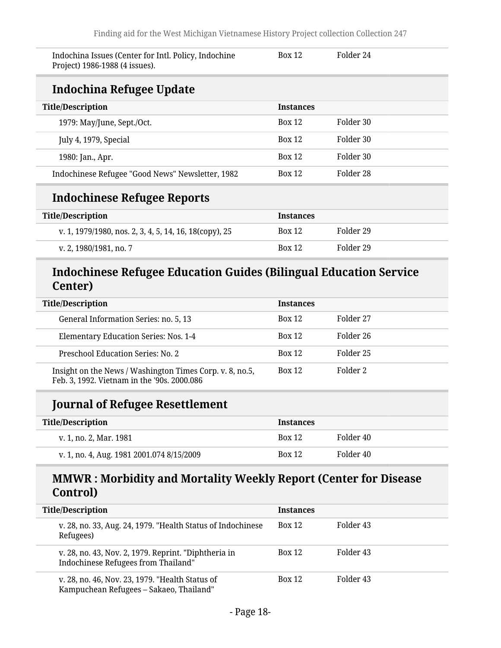| Indochina Issues (Center for Intl. Policy, Indochine<br>Project) 1986-1988 (4 issues). | <b>Box 12</b>    | Folder 24 |
|----------------------------------------------------------------------------------------|------------------|-----------|
| Indochina Refugee Update                                                               |                  |           |
| <b>Title/Description</b>                                                               | <b>Instances</b> |           |
| 1979: May/June, Sept./Oct.                                                             | <b>Box 12</b>    | Folder 30 |
| July 4, 1979, Special                                                                  | <b>Box 12</b>    | Folder 30 |
| 1980: Jan., Apr.                                                                       | <b>Box 12</b>    | Folder 30 |
| Indochinese Refugee "Good News" Newsletter, 1982                                       | <b>Box 12</b>    | Folder 28 |
| Indochinese Refugee Reports                                                            |                  |           |

| <b>Title/Description</b>                               | <b>Instances</b> |           |
|--------------------------------------------------------|------------------|-----------|
| v. 1, 1979/1980, nos. 2, 3, 4, 5, 14, 16, 18(copy), 25 | <b>Box 12</b>    | Folder 29 |
| v. 2, 1980/1981, no. 7                                 | <b>Box 12</b>    | Folder 29 |

### **Indochinese Refugee Education Guides (Bilingual Education Service Center)**

| <b>Title/Description</b>                                                                                | <b>Instances</b> |           |
|---------------------------------------------------------------------------------------------------------|------------------|-----------|
| General Information Series: no. 5, 13                                                                   | <b>Box 12</b>    | Folder 27 |
| Elementary Education Series: Nos. 1-4                                                                   | <b>Box 12</b>    | Folder 26 |
| Preschool Education Series: No. 2                                                                       | <b>Box 12</b>    | Folder 25 |
| Insight on the News / Washington Times Corp. v. 8, no.5,<br>Feb. 3, 1992. Vietnam in the '90s. 2000.086 | <b>Box 12</b>    | Folder 2  |

# **Journal of Refugee Resettlement**

| <b>Title/Description</b>                  | <b>Instances</b> |           |
|-------------------------------------------|------------------|-----------|
| v. 1, no. 2, Mar. 1981                    | <b>Box 12</b>    | Folder 40 |
| v. 1, no. 4, Aug. 1981 2001.074 8/15/2009 | <b>Box 12</b>    | Folder 40 |

### **MMWR : Morbidity and Mortality Weekly Report (Center for Disease Control)**

| <b>Title/Description</b>            |                                                                                            | <b>Instances</b> |           |
|-------------------------------------|--------------------------------------------------------------------------------------------|------------------|-----------|
| Refugees)                           | v. 28, no. 33, Aug. 24, 1979. "Health Status of Indochinese                                | Box 12           | Folder 43 |
| Indochinese Refugees from Thailand" | v. 28, no. 43, Nov. 2, 1979. Reprint. "Diphtheria in                                       | Box 12           | Folder 43 |
|                                     | v. 28, no. 46, Nov. 23, 1979. "Health Status of<br>Kampuchean Refugees - Sakaeo, Thailand" | <b>Box 12</b>    | Folder 43 |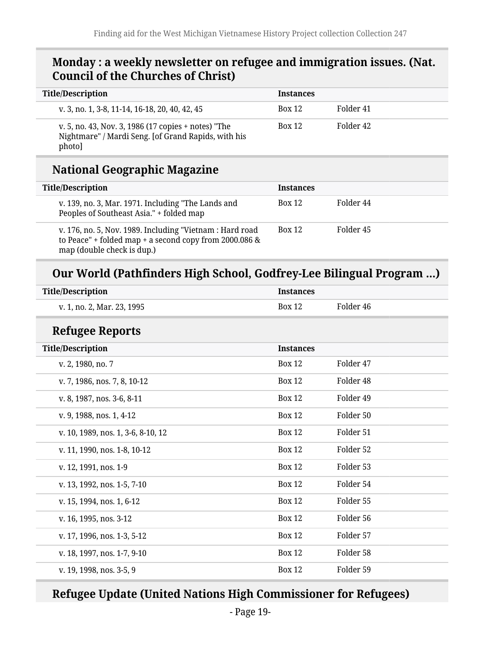#### **Monday : a weekly newsletter on refugee and immigration issues. (Nat. Council of the Churches of Christ)**

| <b>Title/Description</b>                                                                                             | <b>Instances</b> |           |
|----------------------------------------------------------------------------------------------------------------------|------------------|-----------|
| v. 3, no. 1, 3-8, 11-14, 16-18, 20, 40, 42, 45                                                                       | <b>Box 12</b>    | Folder 41 |
| v. 5, no. 43, Nov. 3, 1986 (17 copies + notes) "The<br>Nightmare" / Mardi Seng. [of Grand Rapids, with his<br>photo] | Box 12           | Folder 42 |

### **National Geographic Magazine**

| <b>Title/Description</b>                                                                                                                         | <b>Instances</b> |           |
|--------------------------------------------------------------------------------------------------------------------------------------------------|------------------|-----------|
| v. 139, no. 3, Mar. 1971. Including "The Lands and<br>Peoples of Southeast Asia." + folded map                                                   | <b>Box 12</b>    | Folder 44 |
| v. 176, no. 5, Nov. 1989. Including "Vietnam : Hard road<br>to Peace" + folded map + a second copy from 2000.086 &<br>map (double check is dup.) | <b>Box 12</b>    | Folder 45 |

# **Our World (Pathfinders High School, Godfrey-Lee Bilingual Program …)**

| <b>Title/Description</b>           | <b>Instances</b> |                      |
|------------------------------------|------------------|----------------------|
| v. 1, no. 2, Mar. 23, 1995         | <b>Box 12</b>    | Folder 46            |
| <b>Refugee Reports</b>             |                  |                      |
| <b>Title/Description</b>           | <b>Instances</b> |                      |
| v. 2, 1980, no. 7                  | <b>Box 12</b>    | Folder 47            |
| v. 7, 1986, nos. 7, 8, 10-12       | <b>Box 12</b>    | Folder 48            |
| v. 8, 1987, nos. 3-6, 8-11         | <b>Box 12</b>    | Folder <sub>49</sub> |
| v. 9, 1988, nos. 1, 4-12           | <b>Box 12</b>    | Folder 50            |
| v. 10, 1989, nos. 1, 3-6, 8-10, 12 | <b>Box 12</b>    | Folder 51            |
| v. 11, 1990, nos. 1-8, 10-12       | <b>Box 12</b>    | Folder 52            |
| v. 12, 1991, nos. 1-9              | <b>Box 12</b>    | Folder 53            |
| v. 13, 1992, nos. 1-5, 7-10        | <b>Box 12</b>    | Folder 54            |
| v. 15, 1994, nos. 1, 6-12          | <b>Box 12</b>    | Folder 55            |
| v. 16, 1995, nos. 3-12             | <b>Box 12</b>    | Folder 56            |
| v. 17, 1996, nos. 1-3, 5-12        | <b>Box 12</b>    | Folder 57            |
| v. 18, 1997, nos. 1-7, 9-10        | <b>Box 12</b>    | Folder 58            |
| v. 19, 1998, nos. 3-5, 9           | <b>Box 12</b>    | Folder 59            |

### **Refugee Update (United Nations High Commissioner for Refugees)**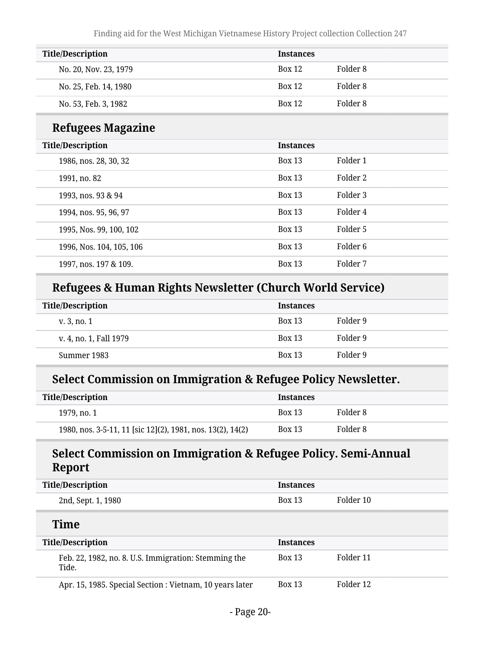| <b>Title/Description</b> | <b>Instances</b> |          |
|--------------------------|------------------|----------|
| No. 20, Nov. 23, 1979    | <b>Box 12</b>    | Folder 8 |
| No. 25, Feb. 14, 1980    | <b>Box 12</b>    | Folder 8 |
| No. 53, Feb. 3, 1982     | <b>Box 12</b>    | Folder 8 |

### **Refugees Magazine**

| <b>Title/Description</b> | <b>Instances</b> |          |
|--------------------------|------------------|----------|
| 1986, nos. 28, 30, 32    | <b>Box 13</b>    | Folder 1 |
| 1991, no. 82             | <b>Box 13</b>    | Folder 2 |
| 1993, nos. 93 & 94       | <b>Box 13</b>    | Folder 3 |
| 1994, nos. 95, 96, 97    | <b>Box 13</b>    | Folder 4 |
| 1995, Nos. 99, 100, 102  | <b>Box 13</b>    | Folder 5 |
| 1996, Nos. 104, 105, 106 | <b>Box 13</b>    | Folder 6 |
| 1997, nos. 197 & 109.    | <b>Box 13</b>    | Folder 7 |

## **Refugees & Human Rights Newsletter (Church World Service)**

| <b>Title/Description</b> | <b>Instances</b> |          |
|--------------------------|------------------|----------|
| v. 3, no. 1              | <b>Box 13</b>    | Folder 9 |
| v. 4, no. 1, Fall 1979   | <b>Box 13</b>    | Folder 9 |
| Summer 1983              | <b>Box 13</b>    | Folder 9 |

### **Select Commission on Immigration & Refugee Policy Newsletter.**

| <b>Title/Description</b>                                   | <b>Instances</b> |          |
|------------------------------------------------------------|------------------|----------|
| 1979, no. 1                                                | <b>Box 13</b>    | Folder 8 |
| 1980, nos. 3-5-11, 11 [sic 12](2), 1981, nos. 13(2), 14(2) | <b>Box 13</b>    | Folder 8 |

### **Select Commission on Immigration & Refugee Policy. Semi-Annual Report**

| <b>Title/Description</b>                                      | <b>Instances</b> |           |
|---------------------------------------------------------------|------------------|-----------|
| 2nd, Sept. 1, 1980                                            | <b>Box 13</b>    | Folder 10 |
| <b>Time</b>                                                   |                  |           |
| <b>Title/Description</b>                                      | <b>Instances</b> |           |
| Feb. 22, 1982, no. 8. U.S. Immigration: Stemming the<br>Tide. | <b>Box 13</b>    | Folder 11 |
| Apr. 15, 1985. Special Section : Vietnam, 10 years later      | <b>Box 13</b>    | Folder 12 |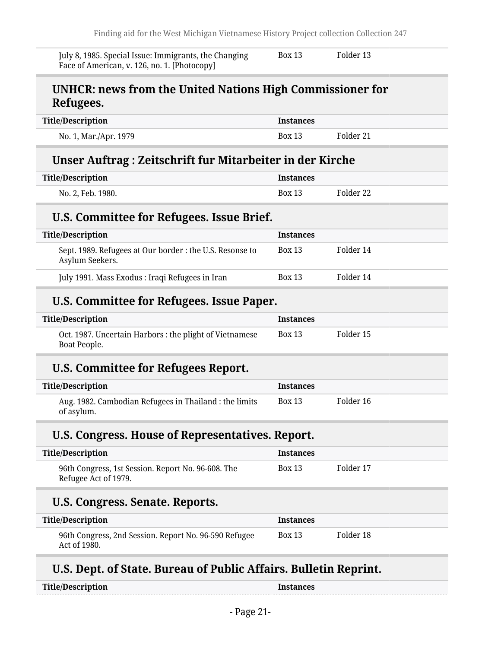| Face of American, v. 126, no. 1. [Photocopy]                                |                  |           |
|-----------------------------------------------------------------------------|------------------|-----------|
| UNHCR: news from the United Nations High Commissioner for<br>Refugees.      |                  |           |
| <b>Title/Description</b>                                                    | <b>Instances</b> |           |
| No. 1, Mar./Apr. 1979                                                       | <b>Box 13</b>    | Folder 21 |
| Unser Auftrag: Zeitschrift fur Mitarbeiter in der Kirche                    |                  |           |
| <b>Title/Description</b>                                                    | <b>Instances</b> |           |
| No. 2, Feb. 1980.                                                           | <b>Box 13</b>    | Folder 22 |
| U.S. Committee for Refugees. Issue Brief.                                   |                  |           |
| <b>Title/Description</b>                                                    | <b>Instances</b> |           |
| Sept. 1989. Refugees at Our border : the U.S. Resonse to<br>Asylum Seekers. | <b>Box 13</b>    | Folder 14 |
| July 1991. Mass Exodus: Iraqi Refugees in Iran                              | <b>Box 13</b>    | Folder 14 |
| U.S. Committee for Refugees. Issue Paper.                                   |                  |           |
| <b>Title/Description</b>                                                    | <b>Instances</b> |           |
| Oct. 1987. Uncertain Harbors: the plight of Vietnamese<br>Boat People.      | <b>Box 13</b>    | Folder 15 |
| U.S. Committee for Refugees Report.                                         |                  |           |
| <b>Title/Description</b>                                                    | <b>Instances</b> |           |
| Aug. 1982. Cambodian Refugees in Thailand : the limits<br>of asylum.        | <b>Box 13</b>    | Folder 16 |
| U.S. Congress. House of Representatives. Report.                            |                  |           |
| <b>Title/Description</b>                                                    | <b>Instances</b> |           |
| 96th Congress, 1st Session. Report No. 96-608. The<br>Refugee Act of 1979.  | <b>Box 13</b>    | Folder 17 |
| U.S. Congress. Senate. Reports.                                             |                  |           |
| <b>Title/Description</b>                                                    | <b>Instances</b> |           |
| 96th Congress, 2nd Session. Report No. 96-590 Refugee<br>Act of 1980.       | <b>Box 13</b>    | Folder 18 |

| Title/Description | <b>Instances</b> |
|-------------------|------------------|
|-------------------|------------------|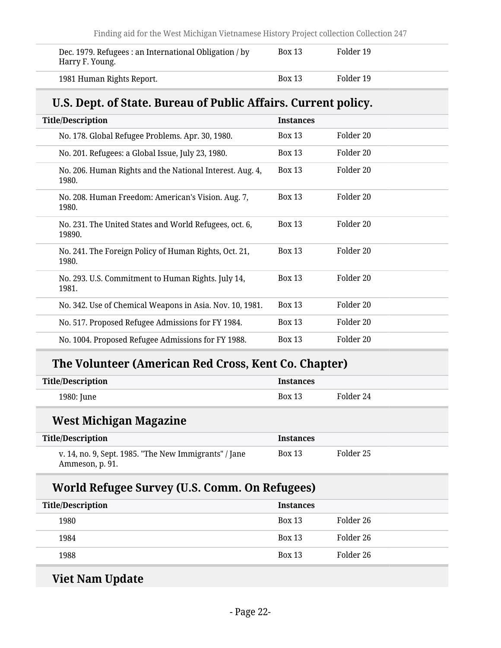| Dec. 1979. Refugees : an International Obligation / by<br>Harry F. Young. | <b>Box 13</b> | Folder 19 |
|---------------------------------------------------------------------------|---------------|-----------|
| 1981 Human Rights Report.                                                 | <b>Box 13</b> | Folder 19 |

# **U.S. Dept. of State. Bureau of Public Affairs. Current policy.**

| <b>Title/Description</b>                                          | <b>Instances</b> |                      |
|-------------------------------------------------------------------|------------------|----------------------|
| No. 178. Global Refugee Problems. Apr. 30, 1980.                  | <b>Box 13</b>    | Folder 20            |
| No. 201. Refugees: a Global Issue, July 23, 1980.                 | <b>Box 13</b>    | Folder 20            |
| No. 206. Human Rights and the National Interest. Aug. 4,<br>1980. | <b>Box 13</b>    | Folder 20            |
| No. 208. Human Freedom: American's Vision. Aug. 7,<br>1980.       | <b>Box 13</b>    | Folder <sub>20</sub> |
| No. 231. The United States and World Refugees, oct. 6,<br>19890.  | <b>Box 13</b>    | Folder 20            |
| No. 241. The Foreign Policy of Human Rights, Oct. 21,<br>1980.    | <b>Box 13</b>    | Folder 20            |
| No. 293. U.S. Commitment to Human Rights. July 14,<br>1981.       | <b>Box 13</b>    | Folder 20            |
| No. 342. Use of Chemical Weapons in Asia. Nov. 10, 1981.          | <b>Box 13</b>    | Folder 20            |
| No. 517. Proposed Refugee Admissions for FY 1984.                 | <b>Box 13</b>    | Folder 20            |
| No. 1004. Proposed Refugee Admissions for FY 1988.                | <b>Box 13</b>    | Folder 20            |

# **The Volunteer (American Red Cross, Kent Co. Chapter)**

| <b>Title/Description</b>                                                 | <b>Instances</b> |           |
|--------------------------------------------------------------------------|------------------|-----------|
| 1980: June                                                               | <b>Box 13</b>    | Folder 24 |
| West Michigan Magazine                                                   |                  |           |
| <b>Title/Description</b>                                                 | <b>Instances</b> |           |
| v. 14, no. 9, Sept. 1985. "The New Immigrants" / Jane<br>Ammeson, p. 91. | <b>Box 13</b>    | Folder 25 |
| World Refugee Survey (U.S. Comm. On Refugees)                            |                  |           |
| <b>Title/Description</b>                                                 | <b>Instances</b> |           |
| 1980                                                                     | <b>Box 13</b>    | Folder 26 |

| 1999 | <b>DUAL 10</b> | TOTACL AV |
|------|----------------|-----------|
| 1984 | <b>Rox 13</b>  | Folder 26 |
| 1988 | <b>Box 13</b>  | Folder 26 |
|      |                |           |

# **Viet Nam Update**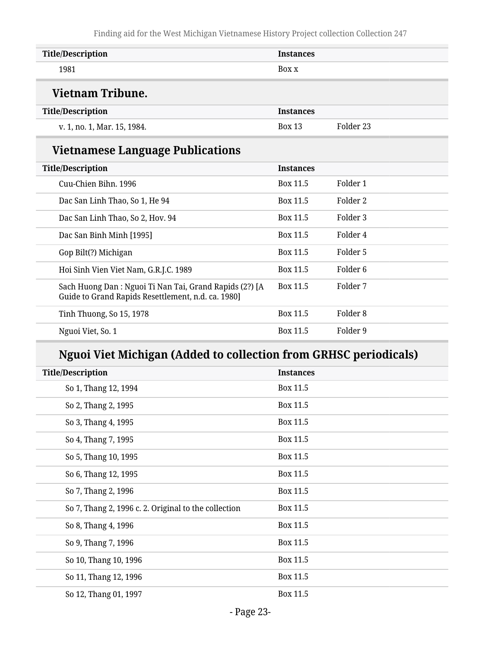| <b>Title/Description</b>                                                                                     | <b>Instances</b> |                      |
|--------------------------------------------------------------------------------------------------------------|------------------|----------------------|
| 1981                                                                                                         | Box x            |                      |
| <b>Vietnam Tribune.</b>                                                                                      |                  |                      |
| <b>Title/Description</b>                                                                                     | <b>Instances</b> |                      |
| v. 1, no. 1, Mar. 15, 1984.                                                                                  | <b>Box 13</b>    | Folder <sub>23</sub> |
| <b>Vietnamese Language Publications</b>                                                                      |                  |                      |
| <b>Title/Description</b>                                                                                     | <b>Instances</b> |                      |
| Cuu-Chien Bihn, 1996                                                                                         | Box 11.5         | Folder 1             |
| Dac San Linh Thao, So 1, He 94                                                                               | Box 11.5         | Folder 2             |
| Dac San Linh Thao, So 2, Hov. 94                                                                             | Box 11.5         | Folder 3             |
| Dac San Binh Minh [1995]                                                                                     | Box 11.5         | Folder 4             |
| Gop Bilt(?) Michigan                                                                                         | Box 11.5         | Folder 5             |
| Hoi Sinh Vien Viet Nam, G.R.J.C. 1989                                                                        | Box 11.5         | Folder <sub>6</sub>  |
| Sach Huong Dan: Nguoi Ti Nan Tai, Grand Rapids (2?) [A<br>Guide to Grand Rapids Resettlement, n.d. ca. 1980] | Box 11.5         | Folder 7             |
| Tinh Thuong, So 15, 1978                                                                                     | Box 11.5         | Folder <sub>8</sub>  |
| Nguoi Viet, So. 1                                                                                            | Box 11.5         | Folder 9             |
|                                                                                                              |                  |                      |

# **Nguoi Viet Michigan (Added to collection from GRHSC periodicals)**

| <b>Title/Description</b> |                                                      | <b>Instances</b> |
|--------------------------|------------------------------------------------------|------------------|
|                          | So 1, Thang 12, 1994                                 | Box 11.5         |
|                          | So 2, Thang 2, 1995                                  | Box 11.5         |
|                          | So 3, Thang 4, 1995                                  | Box 11.5         |
|                          | So 4, Thang 7, 1995                                  | Box 11.5         |
|                          | So 5, Thang 10, 1995                                 | Box 11.5         |
|                          | So 6, Thang 12, 1995                                 | Box 11.5         |
|                          | So 7, Thang 2, 1996                                  | Box 11.5         |
|                          | So 7, Thang 2, 1996 c. 2. Original to the collection | Box 11.5         |
|                          | So 8, Thang 4, 1996                                  | Box 11.5         |
|                          | So 9, Thang 7, 1996                                  | Box 11.5         |
|                          | So 10, Thang 10, 1996                                | Box 11.5         |
|                          | So 11, Thang 12, 1996                                | Box 11.5         |
|                          | So 12, Thang 01, 1997                                | Box 11.5         |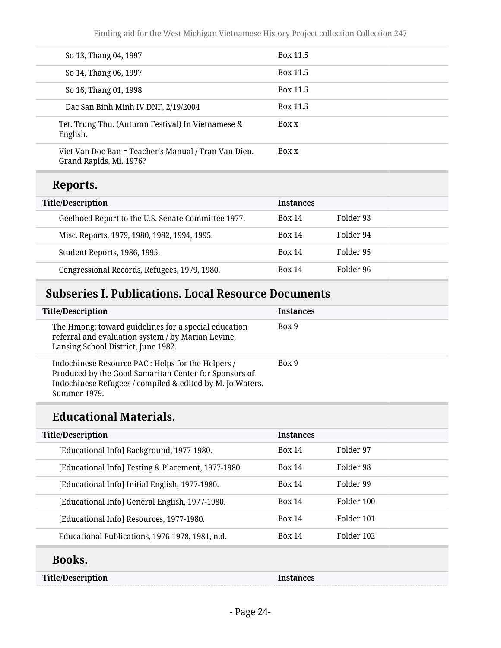| So 13, Thang 04, 1997                                                           | Box 11.5 |
|---------------------------------------------------------------------------------|----------|
| So 14, Thang 06, 1997                                                           | Box 11.5 |
| So 16, Thang 01, 1998                                                           | Box 11.5 |
| Dac San Binh Minh IV DNF, 2/19/2004                                             | Box 11.5 |
| Tet. Trung Thu. (Autumn Festival) In Vietnamese &<br>English.                   | Box x    |
| Viet Van Doc Ban = Teacher's Manual / Tran Van Dien.<br>Grand Rapids, Mi. 1976? | Box x    |

### **Reports.**

| <b>Title/Description</b>                           | <b>Instances</b> |           |  |
|----------------------------------------------------|------------------|-----------|--|
| Geelhoed Report to the U.S. Senate Committee 1977. | <b>Box 14</b>    | Folder 93 |  |
| Misc. Reports, 1979, 1980, 1982, 1994, 1995.       | <b>Box 14</b>    | Folder 94 |  |
| Student Reports, 1986, 1995.                       | <b>Box 14</b>    | Folder 95 |  |
| Congressional Records, Refugees, 1979, 1980.       | <b>Box 14</b>    | Folder 96 |  |

# <span id="page-23-0"></span>**Subseries I. Publications. Local Resource Documents**

| <b>Title/Description</b>                                                                                                                                                                 | <b>Instances</b> |
|------------------------------------------------------------------------------------------------------------------------------------------------------------------------------------------|------------------|
| The Hmong: toward guidelines for a special education<br>referral and evaluation system / by Marian Levine,<br>Lansing School District, June 1982.                                        | Box 9            |
| Indochinese Resource PAC : Helps for the Helpers /<br>Produced by the Good Samaritan Center for Sponsors of<br>Indochinese Refugees / compiled & edited by M. Jo Waters.<br>Summer 1979. | Box 9            |

# **Educational Materials.**

| <b>Title/Description</b>                           | <b>Instances</b> |            |
|----------------------------------------------------|------------------|------------|
| [Educational Info] Background, 1977-1980.          | <b>Box 14</b>    | Folder 97  |
| [Educational Info] Testing & Placement, 1977-1980. | <b>Box 14</b>    | Folder 98  |
| [Educational Info] Initial English, 1977-1980.     | <b>Box 14</b>    | Folder 99  |
| [Educational Info] General English, 1977-1980.     | <b>Box 14</b>    | Folder 100 |
| [Educational Info] Resources, 1977-1980.           | Box 14           | Folder 101 |
| Educational Publications, 1976-1978, 1981, n.d.    | <b>Box 14</b>    | Folder 102 |

### **Books.**

**Title/Description Instances**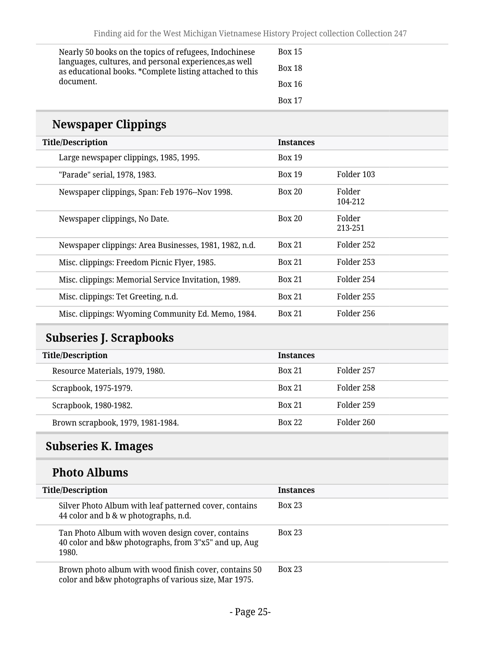| Nearly 50 books on the topics of refugees, Indochinese                                                             | <b>Box 15</b> |
|--------------------------------------------------------------------------------------------------------------------|---------------|
| languages, cultures, and personal experiences, as well<br>as educational books. *Complete listing attached to this | <b>Box 18</b> |
| document.                                                                                                          | <b>Box 16</b> |
|                                                                                                                    | <b>Box 17</b> |

# **Newspaper Clippings**

| <b>Title/Description</b>                               | <b>Instances</b> |                   |
|--------------------------------------------------------|------------------|-------------------|
| Large newspaper clippings, 1985, 1995.                 | <b>Box 19</b>    |                   |
| "Parade" serial, 1978, 1983.                           | <b>Box 19</b>    | Folder 103        |
| Newspaper clippings, Span: Feb 1976--Nov 1998.         | <b>Box 20</b>    | Folder<br>104-212 |
| Newspaper clippings, No Date.                          | <b>Box 20</b>    | Folder<br>213-251 |
| Newspaper clippings: Area Businesses, 1981, 1982, n.d. | <b>Box 21</b>    | Folder 252        |
| Misc. clippings: Freedom Picnic Flyer, 1985.           | <b>Box 21</b>    | Folder 253        |
| Misc. clippings: Memorial Service Invitation, 1989.    | <b>Box 21</b>    | Folder 254        |
| Misc. clippings: Tet Greeting, n.d.                    | <b>Box 21</b>    | Folder 255        |
| Misc. clippings: Wyoming Community Ed. Memo, 1984.     | <b>Box 21</b>    | Folder 256        |

# <span id="page-24-0"></span>**Subseries J. Scrapbooks**

| <b>Title/Description</b>          | <b>Instances</b> |            |
|-----------------------------------|------------------|------------|
| Resource Materials, 1979, 1980.   | <b>Box 21</b>    | Folder 257 |
| Scrapbook, 1975-1979.             | <b>Box 21</b>    | Folder 258 |
| Scrapbook, 1980-1982.             | <b>Box 21</b>    | Folder 259 |
| Brown scrapbook, 1979, 1981-1984. | <b>Box 22</b>    | Folder 260 |

# <span id="page-24-1"></span>**Subseries K. Images**

# **Photo Albums**

| <b>Title/Description</b>                                                                                           | <b>Instances</b> |
|--------------------------------------------------------------------------------------------------------------------|------------------|
| Silver Photo Album with leaf patterned cover, contains<br>44 color and b & w photographs, n.d.                     | <b>Box 23</b>    |
| Tan Photo Album with woven design cover, contains<br>40 color and b&w photographs, from 3"x5" and up, Aug<br>1980. | <b>Box 23</b>    |
| Brown photo album with wood finish cover, contains 50<br>color and b&w photographs of various size, Mar 1975.      | <b>Box 23</b>    |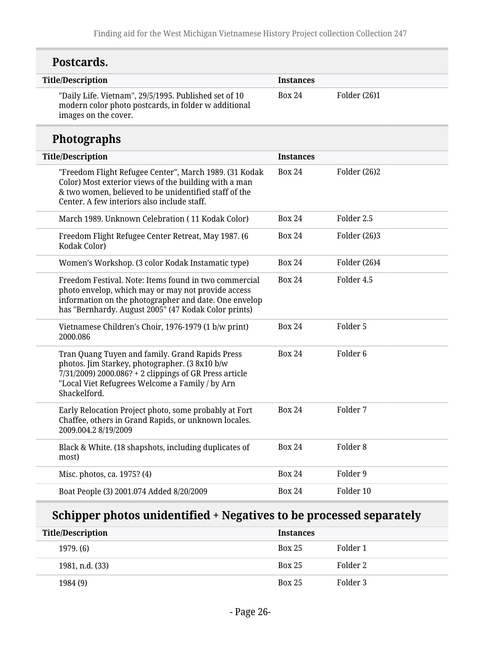| Postcards.                                                                                                                                                                                                                     |                  |                     |
|--------------------------------------------------------------------------------------------------------------------------------------------------------------------------------------------------------------------------------|------------------|---------------------|
| <b>Title/Description</b>                                                                                                                                                                                                       | <b>Instances</b> |                     |
| "Daily Life. Vietnam", 29/5/1995. Published set of 10<br>modern color photo postcards, in folder w additional<br>images on the cover.                                                                                          | <b>Box 24</b>    | Folder (26)1        |
| <b>Photographs</b>                                                                                                                                                                                                             |                  |                     |
| <b>Title/Description</b>                                                                                                                                                                                                       | <b>Instances</b> |                     |
| "Freedom Flight Refugee Center", March 1989. (31 Kodak<br>Color) Most exterior views of the building with a man<br>& two women, believed to be unidentified staff of the<br>Center. A few interiors also include staff.        | <b>Box 24</b>    | Folder (26)2        |
| March 1989. Unknown Celebration (11 Kodak Color)                                                                                                                                                                               | <b>Box 24</b>    | Folder 2.5          |
| Freedom Flight Refugee Center Retreat, May 1987. (6<br>Kodak Color)                                                                                                                                                            | <b>Box 24</b>    | Folder (26)3        |
| Women's Workshop. (3 color Kodak Instamatic type)                                                                                                                                                                              | <b>Box 24</b>    | Folder (26)4        |
| Freedom Festival. Note: Items found in two commercial<br>photo envelop, which may or may not provide access<br>information on the photographer and date. One envelop<br>has "Bernhardy. August 2005" (47 Kodak Color prints)   | <b>Box 24</b>    | Folder 4.5          |
| Vietnamese Children's Choir, 1976-1979 (1 b/w print)<br>2000.086                                                                                                                                                               | <b>Box 24</b>    | Folder 5            |
| Tran Quang Tuyen and family. Grand Rapids Press<br>photos. Jim Starkey, photographer. (3 8x10 b/w<br>7/31/2009) 2000.086? + 2 clippings of GR Press article<br>"Local Viet Refugrees Welcome a Family / by Arn<br>Shackelford. | <b>Box 24</b>    | Folder <sub>6</sub> |
| Early Relocation Project photo, some probably at Fort<br>Chaffee, others in Grand Rapids, or unknown locales.<br>2009.004.2 8/19/2009                                                                                          | <b>Box 24</b>    | Folder 7            |
| Black & White. (18 shapshots, including duplicates of<br>most)                                                                                                                                                                 | <b>Box 24</b>    | Folder <sub>8</sub> |
| Misc. photos, ca. 1975? (4)                                                                                                                                                                                                    | <b>Box 24</b>    | Folder 9            |
| Boat People (3) 2001.074 Added 8/20/2009                                                                                                                                                                                       | <b>Box 24</b>    | Folder 10           |

# **Schipper photos unidentified + Negatives to be processed separately**

| <b>Title/Description</b> | <b>Instances</b> |          |
|--------------------------|------------------|----------|
| 1979. (6)                | <b>Box 25</b>    | Folder 1 |
| 1981, n.d. (33)          | <b>Box 25</b>    | Folder 2 |
| 1984 (9)                 | <b>Box 25</b>    | Folder 3 |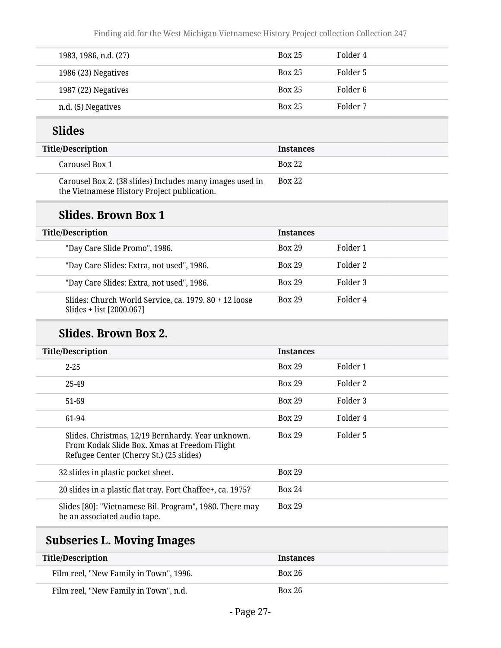| 1983, 1986, n.d. (27) | <b>Box 25</b> | Folder 4 |
|-----------------------|---------------|----------|
| 1986 (23) Negatives   | <b>Box 25</b> | Folder 5 |
| 1987 (22) Negatives   | <b>Box 25</b> | Folder 6 |
| n.d. (5) Negatives    | <b>Box 25</b> | Folder 7 |

# **Slides**

| <b>Title/Description</b>                                                                                | Instances     |
|---------------------------------------------------------------------------------------------------------|---------------|
| Carousel Box 1                                                                                          | <b>Box 22</b> |
| Carousel Box 2. (38 slides) Includes many images used in<br>the Vietnamese History Project publication. | <b>Box 22</b> |

### **Slides. Brown Box 1**

| <b>Title/Description</b>                                                          | <b>Instances</b> |          |
|-----------------------------------------------------------------------------------|------------------|----------|
| "Day Care Slide Promo", 1986.                                                     | <b>Box 29</b>    | Folder 1 |
| "Day Care Slides: Extra, not used", 1986.                                         | <b>Box 29</b>    | Folder 2 |
| "Day Care Slides: Extra, not used", 1986.                                         | <b>Box 29</b>    | Folder 3 |
| Slides: Church World Service, ca. 1979. 80 + 12 loose<br>Slides + list [2000.067] | <b>Box 29</b>    | Folder 4 |

### **Slides. Brown Box 2.**

| <b>Title/Description</b>                                                                                                                     | <b>Instances</b> |          |
|----------------------------------------------------------------------------------------------------------------------------------------------|------------------|----------|
| $2 - 25$                                                                                                                                     | <b>Box 29</b>    | Folder 1 |
| 25-49                                                                                                                                        | <b>Box 29</b>    | Folder 2 |
| 51-69                                                                                                                                        | <b>Box 29</b>    | Folder 3 |
| 61-94                                                                                                                                        | <b>Box 29</b>    | Folder 4 |
| Slides. Christmas, 12/19 Bernhardy. Year unknown.<br>From Kodak Slide Box. Xmas at Freedom Flight<br>Refugee Center (Cherry St.) (25 slides) | <b>Box 29</b>    | Folder 5 |
| 32 slides in plastic pocket sheet.                                                                                                           | <b>Box 29</b>    |          |
| 20 slides in a plastic flat tray. Fort Chaffee+, ca. 1975?                                                                                   | <b>Box 24</b>    |          |
| Slides [80]: "Vietnamese Bil. Program", 1980. There may<br>be an associated audio tape.                                                      | <b>Box 29</b>    |          |

# <span id="page-26-0"></span>**Subseries L. Moving Images**

| <b>Title/Description</b>               | <b>Instances</b> |
|----------------------------------------|------------------|
| Film reel, "New Family in Town", 1996. | Box 26           |
| Film reel, "New Family in Town", n.d.  | Box 26           |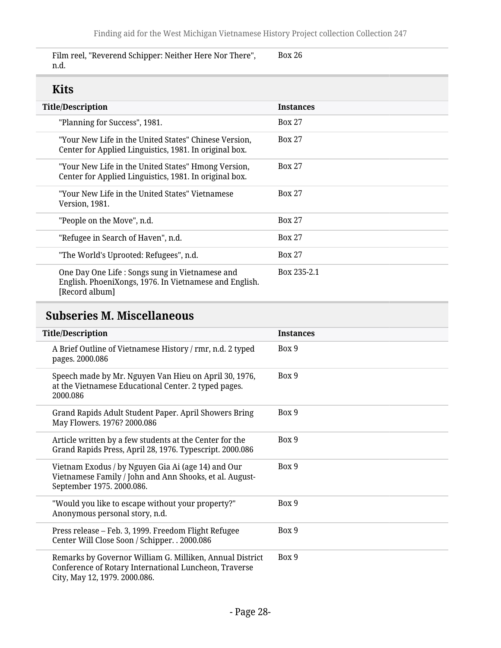Film reel, "Reverend Schipper: Neither Here Nor There", n.d. Box 26

# **Kits**

| шw                                                                                                                          |                  |
|-----------------------------------------------------------------------------------------------------------------------------|------------------|
| <b>Title/Description</b>                                                                                                    | <b>Instances</b> |
| "Planning for Success", 1981.                                                                                               | <b>Box 27</b>    |
| "Your New Life in the United States" Chinese Version,<br>Center for Applied Linguistics, 1981. In original box.             | <b>Box 27</b>    |
| "Your New Life in the United States" Hmong Version,<br>Center for Applied Linguistics, 1981. In original box.               | <b>Box 27</b>    |
| "Your New Life in the United States" Vietnamese<br>Version, 1981.                                                           | <b>Box 27</b>    |
| "People on the Move", n.d.                                                                                                  | <b>Box 27</b>    |
| "Refugee in Search of Haven", n.d.                                                                                          | <b>Box 27</b>    |
| "The World's Uprooted: Refugees", n.d.                                                                                      | <b>Box 27</b>    |
| One Day One Life : Songs sung in Vietnamese and<br>English. PhoeniXongs, 1976. In Vietnamese and English.<br>[Record album] | Box 235-2.1      |

# <span id="page-27-0"></span>**Subseries M. Miscellaneous**

| <b>Title/Description</b>                                                                                                                           | <b>Instances</b> |
|----------------------------------------------------------------------------------------------------------------------------------------------------|------------------|
| A Brief Outline of Vietnamese History / rmr, n.d. 2 typed<br>pages. 2000.086                                                                       | Box 9            |
| Speech made by Mr. Nguyen Van Hieu on April 30, 1976,<br>at the Vietnamese Educational Center. 2 typed pages.<br>2000.086                          | Box 9            |
| Grand Rapids Adult Student Paper. April Showers Bring<br>May Flowers. 1976? 2000.086                                                               | Box 9            |
| Article written by a few students at the Center for the<br>Grand Rapids Press, April 28, 1976. Typescript. 2000.086                                | Box 9            |
| Vietnam Exodus / by Nguyen Gia Ai (age 14) and Our<br>Vietnamese Family / John and Ann Shooks, et al. August-<br>September 1975. 2000.086.         | Box 9            |
| "Would you like to escape without your property?"<br>Anonymous personal story, n.d.                                                                | Box 9            |
| Press release - Feb. 3, 1999. Freedom Flight Refugee<br>Center Will Close Soon / Schipper. . 2000.086                                              | Box 9            |
| Remarks by Governor William G. Milliken, Annual District<br>Conference of Rotary International Luncheon, Traverse<br>City, May 12, 1979. 2000.086. | Box 9            |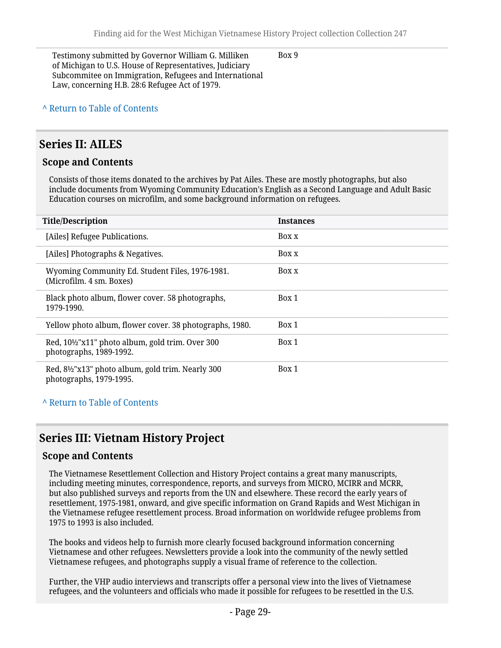Testimony submitted by Governor William G. Milliken of Michigan to U.S. House of Representatives, Judiciary Subcommitee on Immigration, Refugees and International Law, concerning H.B. 28:6 Refugee Act of 1979.

Box 9

#### **^** [Return to Table of Contents](#page-1-0)

#### <span id="page-28-0"></span>**Series II: AILES**

#### **Scope and Contents**

Consists of those items donated to the archives by Pat Ailes. These are mostly photographs, but also include documents from Wyoming Community Education's English as a Second Language and Adult Basic Education courses on microfilm, and some background information on refugees.

| <b>Title/Description</b>                                                                              | <b>Instances</b> |
|-------------------------------------------------------------------------------------------------------|------------------|
| [Ailes] Refugee Publications.                                                                         | Box x            |
| [Ailes] Photographs & Negatives.                                                                      | Box x            |
| Wyoming Community Ed. Student Files, 1976-1981.<br>(Microfilm. 4 sm. Boxes)                           | Box x            |
| Black photo album, flower cover. 58 photographs,<br>1979-1990.                                        | Box 1            |
| Yellow photo album, flower cover. 38 photographs, 1980.                                               | Box 1            |
| Red, 10 <sup>1</sup> / <sub>2</sub> "x11" photo album, gold trim. Over 300<br>photographs, 1989-1992. | Box 1            |
| Red, 8½"x13" photo album, gold trim. Nearly 300<br>photographs, 1979-1995.                            | Box 1            |

#### **^** [Return to Table of Contents](#page-1-0)

#### <span id="page-28-1"></span>**Series III: Vietnam History Project**

#### **Scope and Contents**

The Vietnamese Resettlement Collection and History Project contains a great many manuscripts, including meeting minutes, correspondence, reports, and surveys from MICRO, MCIRR and MCRR, but also published surveys and reports from the UN and elsewhere. These record the early years of resettlement, 1975-1981, onward, and give specific information on Grand Rapids and West Michigan in the Vietnamese refugee resettlement process. Broad information on worldwide refugee problems from 1975 to 1993 is also included.

The books and videos help to furnish more clearly focused background information concerning Vietnamese and other refugees. Newsletters provide a look into the community of the newly settled Vietnamese refugees, and photographs supply a visual frame of reference to the collection.

Further, the VHP audio interviews and transcripts offer a personal view into the lives of Vietnamese refugees, and the volunteers and officials who made it possible for refugees to be resettled in the U.S.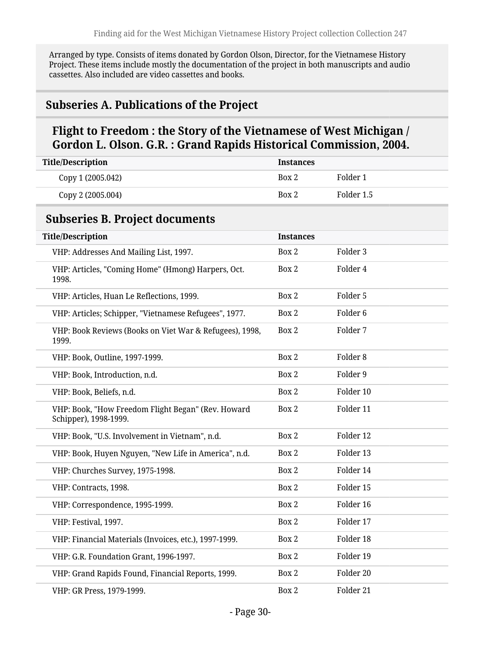Arranged by type. Consists of items donated by Gordon Olson, Director, for the Vietnamese History Project. These items include mostly the documentation of the project in both manuscripts and audio cassettes. Also included are video cassettes and books.

#### <span id="page-29-0"></span>**Subseries A. Publications of the Project**

#### **Flight to Freedom : the Story of the Vietnamese of West Michigan / Gordon L. Olson. G.R. : Grand Rapids Historical Commission, 2004.**

<span id="page-29-1"></span>

| <b>Title/Description</b>                                                    | <b>Instances</b> |                     |
|-----------------------------------------------------------------------------|------------------|---------------------|
| Copy 1 (2005.042)                                                           | Box 2            | Folder 1            |
| Copy 2 (2005.004)                                                           | Box 2            | Folder 1.5          |
| <b>Subseries B. Project documents</b>                                       |                  |                     |
| <b>Title/Description</b>                                                    | <b>Instances</b> |                     |
| VHP: Addresses And Mailing List, 1997.                                      | Box 2            | Folder 3            |
| VHP: Articles, "Coming Home" (Hmong) Harpers, Oct.<br>1998.                 | Box 2            | Folder 4            |
| VHP: Articles, Huan Le Reflections, 1999.                                   | Box 2            | Folder 5            |
| VHP: Articles; Schipper, "Vietnamese Refugees", 1977.                       | Box 2            | Folder <sub>6</sub> |
| VHP: Book Reviews (Books on Viet War & Refugees), 1998,<br>1999.            | Box 2            | Folder 7            |
| VHP: Book, Outline, 1997-1999.                                              | Box 2            | Folder <sub>8</sub> |
| VHP: Book, Introduction, n.d.                                               | Box 2            | Folder 9            |
| VHP: Book, Beliefs, n.d.                                                    | Box 2            | Folder 10           |
| VHP: Book, "How Freedom Flight Began" (Rev. Howard<br>Schipper), 1998-1999. | Box 2            | Folder 11           |
| VHP: Book, "U.S. Involvement in Vietnam", n.d.                              | Box 2            | Folder 12           |
| VHP: Book, Huyen Nguyen, "New Life in America", n.d.                        | Box 2            | Folder 13           |
| VHP: Churches Survey, 1975-1998.                                            | Box 2            | Folder 14           |
| VHP: Contracts, 1998.                                                       | Box 2            | Folder 15           |
| VHP: Correspondence, 1995-1999.                                             | Box 2            | Folder 16           |
| VHP: Festival, 1997.                                                        | Box 2            | Folder 17           |
| VHP: Financial Materials (Invoices, etc.), 1997-1999.                       | Box 2            | Folder 18           |
| VHP: G.R. Foundation Grant, 1996-1997.                                      | Box 2            | Folder 19           |
| VHP: Grand Rapids Found, Financial Reports, 1999.                           | Box 2            | Folder 20           |
| VHP: GR Press, 1979-1999.                                                   | Box 2            | Folder 21           |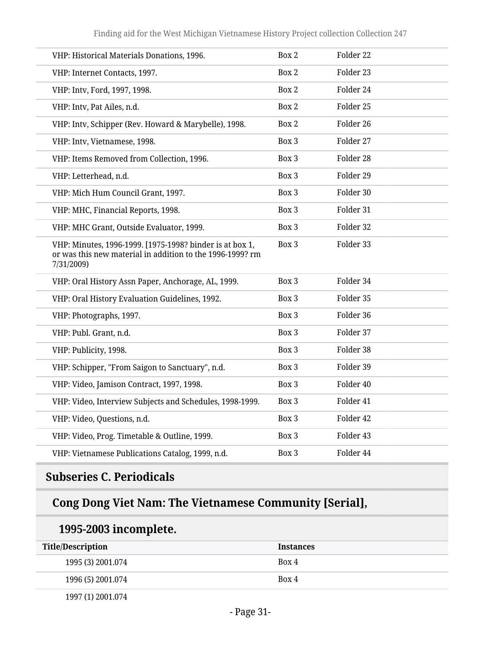| VHP: Historical Materials Donations, 1996.                                                                                          | Box 2 | Folder 22 |
|-------------------------------------------------------------------------------------------------------------------------------------|-------|-----------|
| VHP: Internet Contacts, 1997.                                                                                                       | Box 2 | Folder 23 |
| VHP: Intv, Ford, 1997, 1998.                                                                                                        | Box 2 | Folder 24 |
| VHP: Intv, Pat Ailes, n.d.                                                                                                          | Box 2 | Folder 25 |
| VHP: Intv, Schipper (Rev. Howard & Marybelle), 1998.                                                                                | Box 2 | Folder 26 |
| VHP: Intv, Vietnamese, 1998.                                                                                                        | Box 3 | Folder 27 |
| VHP: Items Removed from Collection, 1996.                                                                                           | Box 3 | Folder 28 |
| VHP: Letterhead, n.d.                                                                                                               | Box 3 | Folder 29 |
| VHP: Mich Hum Council Grant, 1997.                                                                                                  | Box 3 | Folder 30 |
| VHP: MHC, Financial Reports, 1998.                                                                                                  | Box 3 | Folder 31 |
| VHP: MHC Grant, Outside Evaluator, 1999.                                                                                            | Box 3 | Folder 32 |
| VHP: Minutes, 1996-1999. [1975-1998? binder is at box 1,<br>or was this new material in addition to the 1996-1999? rm<br>7/31/2009) | Box 3 | Folder 33 |
| VHP: Oral History Assn Paper, Anchorage, AL, 1999.                                                                                  | Box 3 | Folder 34 |
| VHP: Oral History Evaluation Guidelines, 1992.                                                                                      | Box 3 | Folder 35 |
| VHP: Photographs, 1997.                                                                                                             | Box 3 | Folder 36 |
| VHP: Publ. Grant, n.d.                                                                                                              | Box 3 | Folder 37 |
| VHP: Publicity, 1998.                                                                                                               | Box 3 | Folder 38 |
| VHP: Schipper, "From Saigon to Sanctuary", n.d.                                                                                     | Box 3 | Folder 39 |
| VHP: Video, Jamison Contract, 1997, 1998.                                                                                           | Box 3 | Folder 40 |
| VHP: Video, Interview Subjects and Schedules, 1998-1999.                                                                            | Box 3 | Folder 41 |
| VHP: Video, Questions, n.d.                                                                                                         | Box 3 | Folder 42 |
| VHP: Video, Prog. Timetable & Outline, 1999.                                                                                        | Box 3 | Folder 43 |
| VHP: Vietnamese Publications Catalog, 1999, n.d.                                                                                    | Box 3 | Folder 44 |

# <span id="page-30-0"></span>**Subseries C. Periodicals**

# **Cong Dong Viet Nam: The Vietnamese Community [Serial],**

# **1995-2003 incomplete.**

| <b>Title/Description</b> | <b>Instances</b> |
|--------------------------|------------------|
| 1995 (3) 2001.074        | Box 4            |
| 1996 (5) 2001.074        | Box 4            |

1997 (1) 2001.074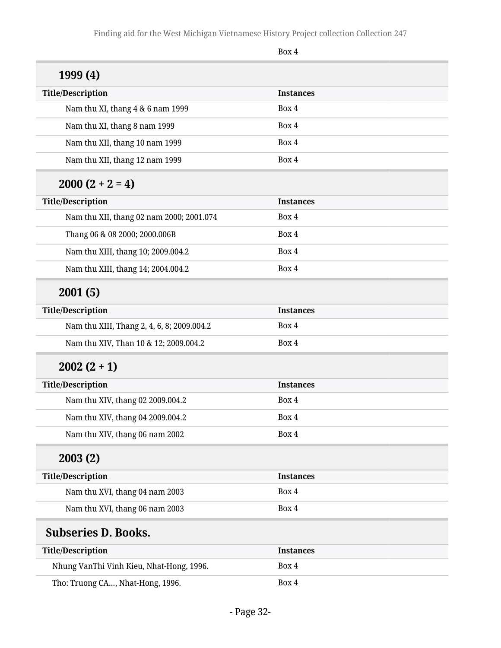<span id="page-31-0"></span>

|                                            | Box 4            |  |
|--------------------------------------------|------------------|--|
| 1999 (4)                                   |                  |  |
| <b>Title/Description</b>                   | <b>Instances</b> |  |
| Nam thu XI, thang 4 & 6 nam 1999           | Box 4            |  |
| Nam thu XI, thang 8 nam 1999               | Box 4            |  |
| Nam thu XII, thang 10 nam 1999             | Box 4            |  |
| Nam thu XII, thang 12 nam 1999             | Box 4            |  |
| $2000(2 + 2 = 4)$                          |                  |  |
| <b>Title/Description</b>                   | <b>Instances</b> |  |
| Nam thu XII, thang 02 nam 2000; 2001.074   | Box 4            |  |
| Thang 06 & 08 2000; 2000.006B              | Box 4            |  |
| Nam thu XIII, thang 10; 2009.004.2         | Box 4            |  |
| Nam thu XIII, thang 14; 2004.004.2         | Box 4            |  |
| 2001(5)                                    |                  |  |
| <b>Title/Description</b>                   | <b>Instances</b> |  |
| Nam thu XIII, Thang 2, 4, 6, 8; 2009.004.2 | Box 4            |  |
| Nam thu XIV, Than 10 & 12; 2009.004.2      | Box 4            |  |
| $2002(2+1)$                                |                  |  |
| <b>Title/Description</b>                   | <b>Instances</b> |  |
| Nam thu XIV, thang 02 2009.004.2           | Box 4            |  |
| Nam thu XIV, thang 04 2009.004.2           | Box 4            |  |
| Nam thu XIV, thang 06 nam 2002             | Box 4            |  |
| 2003(2)                                    |                  |  |
| <b>Title/Description</b>                   | <b>Instances</b> |  |
| Nam thu XVI, thang 04 nam 2003             | Box 4            |  |
| Nam thu XVI, thang 06 nam 2003             | Box 4            |  |
| <b>Subseries D. Books.</b>                 |                  |  |
| <b>Title/Description</b>                   | <b>Instances</b> |  |
| Nhung VanThi Vinh Kieu, Nhat-Hong, 1996.   | Box 4            |  |
| Tho: Truong CA, Nhat-Hong, 1996.           | Box 4            |  |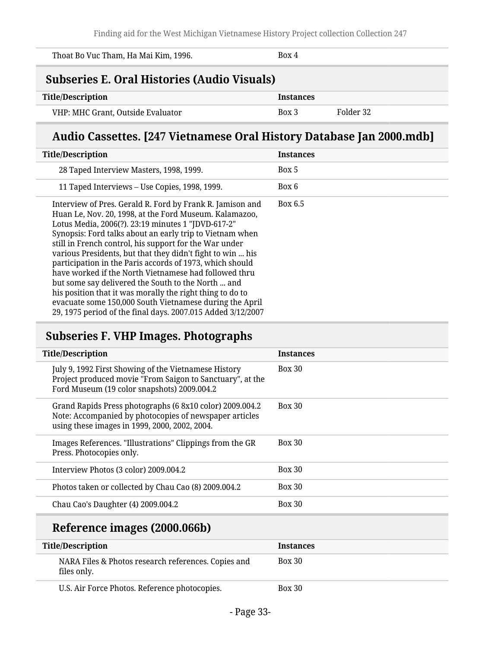<span id="page-32-0"></span>

| Thoat Bo Vuc Tham, Ha Mai Kim, 1996.                                 | Box 4                                  |  |
|----------------------------------------------------------------------|----------------------------------------|--|
| <b>Subseries E. Oral Histories (Audio Visuals)</b>                   |                                        |  |
| <b>Title/Description</b>                                             | <b>Instances</b>                       |  |
| VHP: MHC Grant, Outside Evaluator                                    | Folder 32<br>Box 3                     |  |
| Audio Cassettes. [247 Vietnamese Oral History Database Jan 2000.mdb] |                                        |  |
| <b>Title/Description</b>                                             | <b>Instances</b>                       |  |
| 20 Taped Interview Meeters 1000 1000                                 | $\mathbf{D}_{\mathbf{O}}$ $\mathbf{F}$ |  |

| 28 Taped Interview Masters, 1998, 1999.                                                                                                                                                                                                                                                                                                                                                                                                                                                                                                                                                                                                                                                                                         | Box 5   |
|---------------------------------------------------------------------------------------------------------------------------------------------------------------------------------------------------------------------------------------------------------------------------------------------------------------------------------------------------------------------------------------------------------------------------------------------------------------------------------------------------------------------------------------------------------------------------------------------------------------------------------------------------------------------------------------------------------------------------------|---------|
| 11 Taped Interviews – Use Copies, 1998, 1999.                                                                                                                                                                                                                                                                                                                                                                                                                                                                                                                                                                                                                                                                                   | Box 6   |
| Interview of Pres. Gerald R. Ford by Frank R. Jamison and<br>Huan Le, Nov. 20, 1998, at the Ford Museum. Kalamazoo,<br>Lotus Media, 2006(?). 23:19 minutes 1 "JDVD-617-2"<br>Synopsis: Ford talks about an early trip to Vietnam when<br>still in French control, his support for the War under<br>various Presidents, but that they didn't fight to win  his<br>participation in the Paris accords of 1973, which should<br>have worked if the North Vietnamese had followed thru<br>but some say delivered the South to the North  and<br>his position that it was morally the right thing to do to<br>evacuate some 150,000 South Vietnamese during the April<br>29, 1975 period of the final days. 2007.015 Added 3/12/2007 | Box 6.5 |

# <span id="page-32-1"></span>**Subseries F. VHP Images. Photographs**

| <b>Title/Description</b>                                                                                                                                            | <b>Instances</b> |
|---------------------------------------------------------------------------------------------------------------------------------------------------------------------|------------------|
| July 9, 1992 First Showing of the Vietnamese History<br>Project produced movie "From Saigon to Sanctuary", at the<br>Ford Museum (19 color snapshots) 2009.004.2    | <b>Box 30</b>    |
| Grand Rapids Press photographs (6 8x10 color) 2009.004.2<br>Note: Accompanied by photocopies of newspaper articles<br>using these images in 1999, 2000, 2002, 2004. | <b>Box 30</b>    |
| Images References. "Illustrations" Clippings from the GR<br>Press. Photocopies only.                                                                                | <b>Box 30</b>    |
| Interview Photos (3 color) 2009.004.2                                                                                                                               | $Box\ 30$        |
| Photos taken or collected by Chau Cao (8) 2009.004.2                                                                                                                | <b>Box 30</b>    |
| Chau Cao's Daughter (4) 2009.004.2                                                                                                                                  | <b>Box 30</b>    |
| Reference images (2000.066b)                                                                                                                                        |                  |
| <b>Title/Description</b>                                                                                                                                            | <b>Instances</b> |
| NARA Files & Photos research references. Copies and<br>files only.                                                                                                  | <b>Box 30</b>    |
|                                                                                                                                                                     |                  |

U.S. Air Force Photos. Reference photocopies. Box 30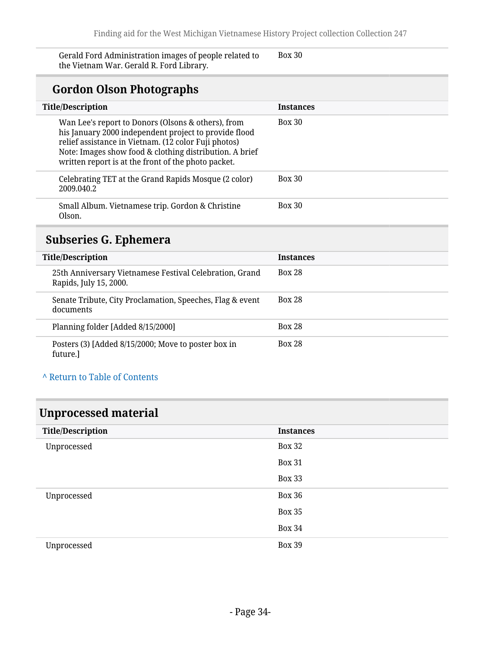Gerald Ford Administration images of people related to the Vietnam War. Gerald R. Ford Library.

Box 30

# **Gordon Olson Photographs**

| <b>Title/Description</b>                                                                                                                                                                                                                                                              | <b>Instances</b> |
|---------------------------------------------------------------------------------------------------------------------------------------------------------------------------------------------------------------------------------------------------------------------------------------|------------------|
| Wan Lee's report to Donors (Olsons & others), from<br>his January 2000 independent project to provide flood<br>relief assistance in Vietnam. (12 color Fuji photos)<br>Note: Images show food & clothing distribution. A brief<br>written report is at the front of the photo packet. | <b>Box 30</b>    |
| Celebrating TET at the Grand Rapids Mosque (2 color)<br>2009.040.2                                                                                                                                                                                                                    | <b>Box 30</b>    |
| Small Album. Vietnamese trip. Gordon & Christine<br>Olson.                                                                                                                                                                                                                            | Box 30           |
|                                                                                                                                                                                                                                                                                       |                  |

# <span id="page-33-0"></span>**Subseries G. Ephemera**

| <b>Title/Description</b>                                                          | <b>Instances</b> |
|-----------------------------------------------------------------------------------|------------------|
| 25th Anniversary Vietnamese Festival Celebration, Grand<br>Rapids, July 15, 2000. | <b>Box 28</b>    |
| Senate Tribute, City Proclamation, Speeches, Flag & event<br>documents            | <b>Box 28</b>    |
| Planning folder [Added 8/15/2000]                                                 | <b>Box 28</b>    |
| Posters (3) [Added 8/15/2000; Move to poster box in<br>future.]                   | <b>Box 28</b>    |

#### **^** [Return to Table of Contents](#page-1-0)

# <span id="page-33-1"></span>**Unprocessed material**

| <b>Title/Description</b> | <b>Instances</b> |
|--------------------------|------------------|
| Unprocessed              | <b>Box 32</b>    |
|                          | <b>Box 31</b>    |
|                          | <b>Box 33</b>    |
| Unprocessed              | <b>Box 36</b>    |
|                          | <b>Box 35</b>    |
|                          | <b>Box 34</b>    |
| Unprocessed              | <b>Box 39</b>    |